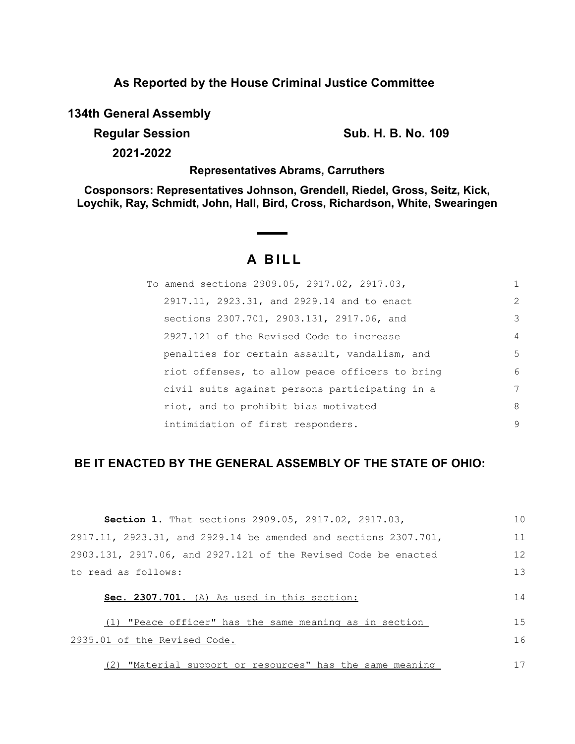# **As Reported by the House Criminal Justice Committee**

**134th General Assembly**

**Regular Session Sub. H. B. No. 109** 

**2021-2022**

# **Representatives Abrams, Carruthers**

**Cosponsors: Representatives Johnson, Grendell, Riedel, Gross, Seitz, Kick, Loychik, Ray, Schmidt, John, Hall, Bird, Cross, Richardson, White, Swearingen**

# **A B I L L**

| To amend sections 2909.05, 2917.02, 2917.03,    |   |
|-------------------------------------------------|---|
| 2917.11, 2923.31, and 2929.14 and to enact      | 2 |
| sections 2307.701, 2903.131, 2917.06, and       | 3 |
| 2927.121 of the Revised Code to increase        | 4 |
| penalties for certain assault, vandalism, and   | 5 |
| riot offenses, to allow peace officers to bring | 6 |
| civil suits against persons participating in a  | 7 |
| riot, and to prohibit bias motivated            | 8 |
| intimidation of first responders.               | 9 |

# **BE IT ENACTED BY THE GENERAL ASSEMBLY OF THE STATE OF OHIO:**

| Section 1. That sections 2909.05, 2917.02, 2917.03,             | 10 |
|-----------------------------------------------------------------|----|
| 2917.11, 2923.31, and 2929.14 be amended and sections 2307.701, | 11 |
| 2903.131, 2917.06, and 2927.121 of the Revised Code be enacted  | 12 |
| to read as follows:                                             | 13 |
| Sec. 2307.701. (A) As used in this section:                     | 14 |
| "Peace officer" has the same meaning as in section              | 15 |
| 2935.01 of the Revised Code.                                    | 16 |
| "Material support or resources" has the same meaning            | 17 |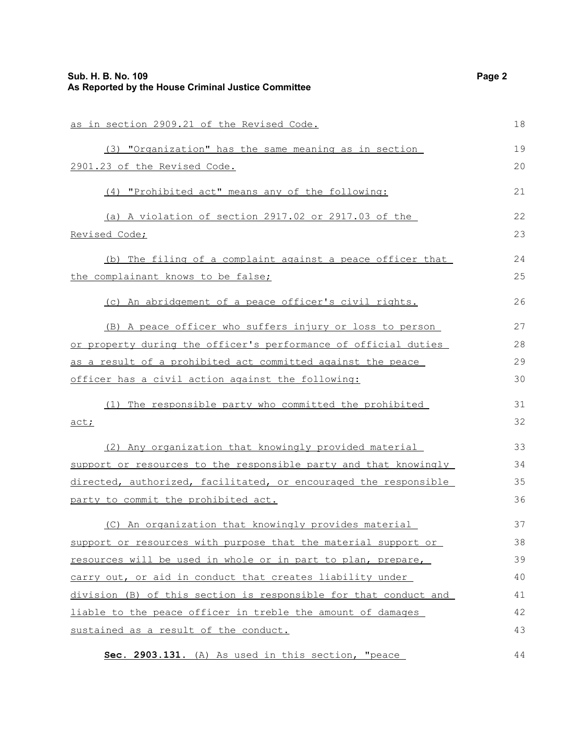| as in section 2909.21 of the Revised Code.                       | 18 |
|------------------------------------------------------------------|----|
| (3) "Organization" has the same meaning as in section            | 19 |
| 2901.23 of the Revised Code.                                     | 20 |
| (4) "Prohibited act" means any of the following:                 | 21 |
| (a) A violation of section 2917.02 or 2917.03 of the             | 22 |
| Revised Code;                                                    | 23 |
| (b) The filing of a complaint against a peace officer that       | 24 |
| the complainant knows to be false;                               | 25 |
| (c) An abridgement of a peace officer's civil rights.            | 26 |
| (B) A peace officer who suffers injury or loss to person         | 27 |
| or property during the officer's performance of official duties  | 28 |
| as a result of a prohibited act committed against the peace      | 29 |
| officer has a civil action against the following:                | 30 |
| (1) The responsible party who committed the prohibited           | 31 |
| act;                                                             | 32 |
| (2) Any organization that knowingly provided material            | 33 |
| support or resources to the responsible party and that knowingly | 34 |
| directed, authorized, facilitated, or encouraged the responsible | 35 |
| party to commit the prohibited act.                              | 36 |
| (C) An organization that knowingly provides material             | 37 |
| support or resources with purpose that the material support or   | 38 |
| resources will be used in whole or in part to plan, prepare,     | 39 |
| carry out, or aid in conduct that creates liability under        | 40 |
| division (B) of this section is responsible for that conduct and | 41 |
| liable to the peace officer in treble the amount of damages      | 42 |
| sustained as a result of the conduct.                            | 43 |
| Sec. 2903.131. (A) As used in this section, "peace               | 44 |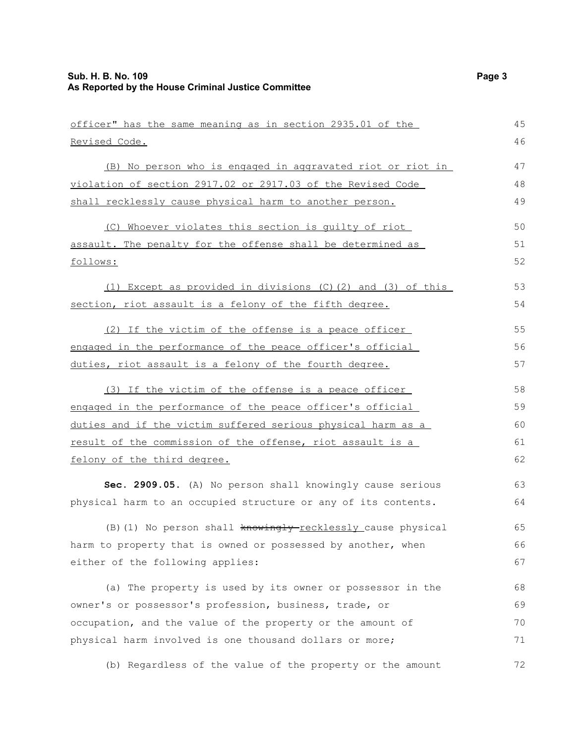| officer" has the same meaning as in section 2935.01 of the     | 45 |
|----------------------------------------------------------------|----|
| Revised Code.                                                  | 46 |
| (B) No person who is engaged in aggravated riot or riot in     | 47 |
| violation of section 2917.02 or 2917.03 of the Revised Code    | 48 |
| shall recklessly cause physical harm to another person.        | 49 |
| (C) Whoever violates this section is quilty of riot            | 50 |
| assault. The penalty for the offense shall be determined as    | 51 |
| follows:                                                       | 52 |
| (1) Except as provided in divisions (C)(2) and (3) of this     | 53 |
| section, riot assault is a felony of the fifth degree.         | 54 |
| (2) If the victim of the offense is a peace officer            | 55 |
| engaged in the performance of the peace officer's official     | 56 |
| duties, riot assault is a felony of the fourth degree.         | 57 |
| (3) If the victim of the offense is a peace officer            | 58 |
| engaged in the performance of the peace officer's official     | 59 |
| duties and if the victim suffered serious physical harm as a   | 60 |
| result of the commission of the offense, riot assault is a     | 61 |
| felony of the third degree.                                    | 62 |
| Sec. 2909.05. (A) No person shall knowingly cause serious      | 63 |
| physical harm to an occupied structure or any of its contents. | 64 |
| (B) (1) No person shall knowingly-recklessly cause physical    | 65 |
| harm to property that is owned or possessed by another, when   | 66 |
| either of the following applies:                               | 67 |
| (a) The property is used by its owner or possessor in the      | 68 |
| owner's or possessor's profession, business, trade, or         | 69 |
| occupation, and the value of the property or the amount of     | 70 |
| physical harm involved is one thousand dollars or more;        | 71 |
| (b) Regardless of the value of the property or the amount      | 72 |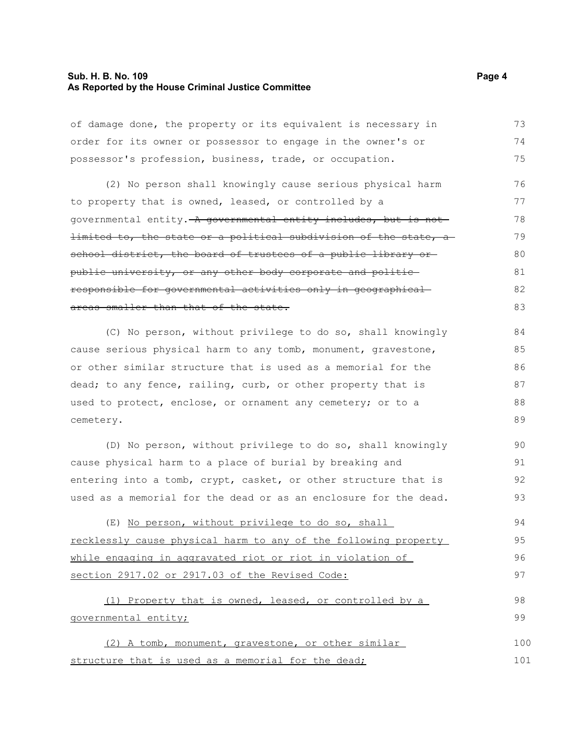#### **Sub. H. B. No. 109 Page 4 As Reported by the House Criminal Justice Committee**

of damage done, the property or its equivalent is necessary in order for its owner or possessor to engage in the owner's or possessor's profession, business, trade, or occupation. 73 74 75

(2) No person shall knowingly cause serious physical harm to property that is owned, leased, or controlled by a governmental entity. A governmental entity includes, but is notlimited to, the state or a political subdivision of the state, a school district, the board of trustees of a public library orpublic university, or any other body corporate and politic responsible for governmental activities only in geographical areas smaller than that of the state. 76 77 78 79 80 81 82 83

(C) No person, without privilege to do so, shall knowingly cause serious physical harm to any tomb, monument, gravestone, or other similar structure that is used as a memorial for the dead; to any fence, railing, curb, or other property that is used to protect, enclose, or ornament any cemetery; or to a cemetery. 84 85 86 87 88 89

(D) No person, without privilege to do so, shall knowingly cause physical harm to a place of burial by breaking and entering into a tomb, crypt, casket, or other structure that is used as a memorial for the dead or as an enclosure for the dead. 90 91 92 93

(E) No person, without privilege to do so, shall recklessly cause physical harm to any of the following property while engaging in aggravated riot or riot in violation of section 2917.02 or 2917.03 of the Revised Code: 94 95 96 97

(1) Property that is owned, leased, or controlled by a governmental entity; 98 99

(2) A tomb, monument, gravestone, or other similar structure that is used as a memorial for the dead; 100 101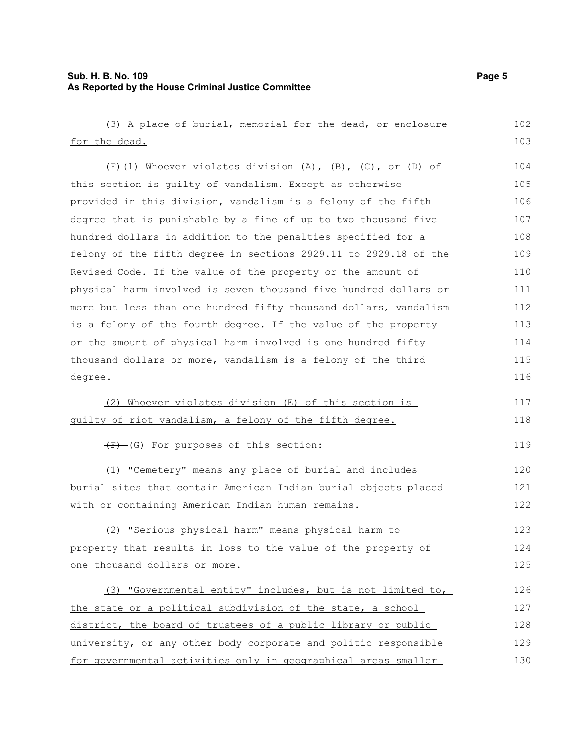# **Sub. H. B. No. 109 Page 5 As Reported by the House Criminal Justice Committee**

| (3) A place of burial, memorial for the dead, or enclosure       | 102 |
|------------------------------------------------------------------|-----|
| for the dead.                                                    | 103 |
| $(F)$ (1) Whoever violates division (A), (B), (C), or (D) of     | 104 |
| this section is quilty of vandalism. Except as otherwise         | 105 |
| provided in this division, vandalism is a felony of the fifth    | 106 |
| degree that is punishable by a fine of up to two thousand five   | 107 |
| hundred dollars in addition to the penalties specified for a     | 108 |
| felony of the fifth degree in sections 2929.11 to 2929.18 of the | 109 |
| Revised Code. If the value of the property or the amount of      | 110 |
| physical harm involved is seven thousand five hundred dollars or | 111 |
| more but less than one hundred fifty thousand dollars, vandalism | 112 |
| is a felony of the fourth degree. If the value of the property   | 113 |
| or the amount of physical harm involved is one hundred fifty     | 114 |
| thousand dollars or more, vandalism is a felony of the third     | 115 |
| degree.                                                          | 116 |
| (2) Whoever violates division (E) of this section is             | 117 |
| guilty of riot vandalism, a felony of the fifth degree.          | 118 |
| (F)-(G) For purposes of this section:                            | 119 |
| (1) "Cemetery" means any place of burial and includes            | 120 |
| burial sites that contain American Indian burial objects placed  | 121 |
| with or containing American Indian human remains.                | 122 |
| (2) "Serious physical harm" means physical harm to               | 123 |
| property that results in loss to the value of the property of    | 124 |
| one thousand dollars or more.                                    | 125 |
| (3) "Governmental entity" includes, but is not limited to,       | 126 |
| the state or a political subdivision of the state, a school      | 127 |
| district, the board of trustees of a public library or public    | 128 |
| university, or any other body corporate and politic responsible  | 129 |
| for governmental activities only in geographical areas smaller   | 130 |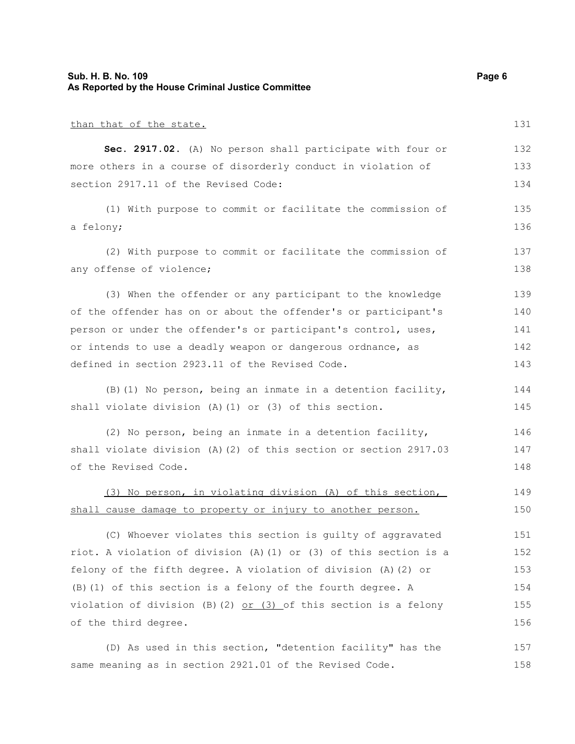#### **Sub. H. B. No. 109 Page 6 As Reported by the House Criminal Justice Committee**

than that of the state. **Sec. 2917.02.** (A) No person shall participate with four or more others in a course of disorderly conduct in violation of section 2917.11 of the Revised Code: (1) With purpose to commit or facilitate the commission of a felony; (2) With purpose to commit or facilitate the commission of any offense of violence; (3) When the offender or any participant to the knowledge of the offender has on or about the offender's or participant's person or under the offender's or participant's control, uses, or intends to use a deadly weapon or dangerous ordnance, as defined in section 2923.11 of the Revised Code. (B)(1) No person, being an inmate in a detention facility, shall violate division (A)(1) or (3) of this section. (2) No person, being an inmate in a detention facility, shall violate division (A)(2) of this section or section 2917.03 of the Revised Code. (3) No person, in violating division (A) of this section, shall cause damage to property or injury to another person. (C) Whoever violates this section is guilty of aggravated riot. A violation of division (A)(1) or (3) of this section is a felony of the fifth degree. A violation of division (A)(2) or (B)(1) of this section is a felony of the fourth degree. A violation of division (B)(2)  $or$  (3) of this section is a felony of the third degree. (D) As used in this section, "detention facility" has the same meaning as in section 2921.01 of the Revised Code. 131 132 133 134 135 136 137 138 139 140 141 142 143 144 145 146 147 148 149 150 151 152 153 154 155 156 157 158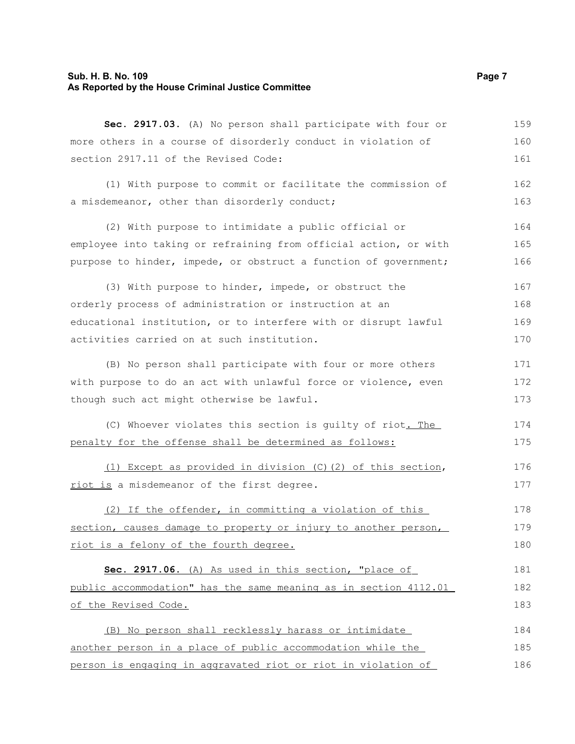# **Sub. H. B. No. 109 Page 7 As Reported by the House Criminal Justice Committee**

| more others in a course of disorderly conduct in violation of    | 160 |
|------------------------------------------------------------------|-----|
| section 2917.11 of the Revised Code:                             | 161 |
| (1) With purpose to commit or facilitate the commission of       | 162 |
| a misdemeanor, other than disorderly conduct;                    | 163 |
| (2) With purpose to intimidate a public official or              | 164 |
| employee into taking or refraining from official action, or with | 165 |
| purpose to hinder, impede, or obstruct a function of government; | 166 |
| (3) With purpose to hinder, impede, or obstruct the              | 167 |
| orderly process of administration or instruction at an           | 168 |
| educational institution, or to interfere with or disrupt lawful  | 169 |
| activities carried on at such institution.                       | 170 |
| (B) No person shall participate with four or more others         | 171 |
| with purpose to do an act with unlawful force or violence, even  | 172 |
| though such act might otherwise be lawful.                       | 173 |
| (C) Whoever violates this section is guilty of riot. The         | 174 |
| penalty for the offense shall be determined as follows:          | 175 |
| (1) Except as provided in division (C) (2) of this section,      | 176 |
| riot is a misdemeanor of the first degree.                       | 177 |
| (2) If the offender, in committing a violation of this           | 178 |
| section, causes damage to property or injury to another person,  | 179 |
| riot is a felony of the fourth degree.                           | 180 |
| Sec. 2917.06. (A) As used in this section, "place of             | 181 |
| public accommodation" has the same meaning as in section 4112.01 | 182 |
| of the Revised Code.                                             | 183 |
| (B) No person shall recklessly harass or intimidate              | 184 |
| another person in a place of public accommodation while the      | 185 |
| person is engaging in aggravated riot or riot in violation of    | 186 |

**Sec. 2917.03.** (A) No person shall participate with four or

159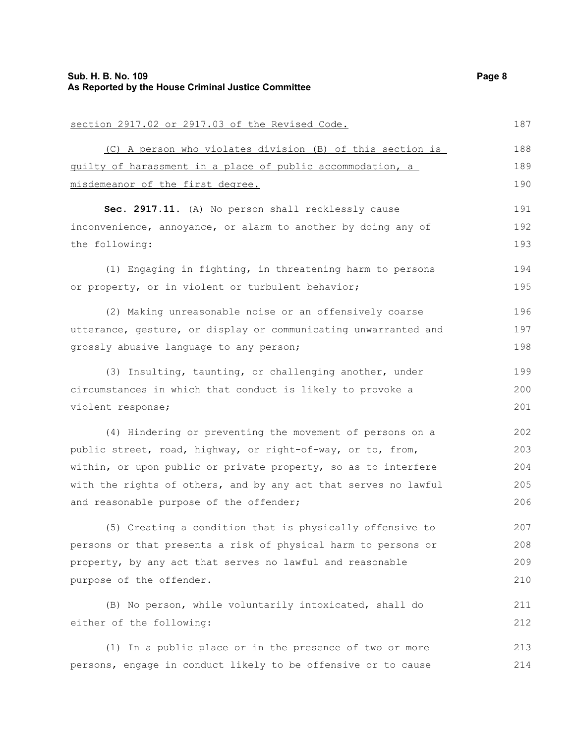# **Sub. H. B. No. 109 Page 8 As Reported by the House Criminal Justice Committee**

| section 2917.02 or 2917.03 of the Revised Code.                 | 187 |
|-----------------------------------------------------------------|-----|
| (C) A person who violates division (B) of this section is       | 188 |
| guilty of harassment in a place of public accommodation, a      | 189 |
| misdemeanor of the first degree.                                | 190 |
| Sec. 2917.11. (A) No person shall recklessly cause              | 191 |
| inconvenience, annoyance, or alarm to another by doing any of   | 192 |
| the following:                                                  | 193 |
| (1) Engaging in fighting, in threatening harm to persons        | 194 |
| or property, or in violent or turbulent behavior;               | 195 |
| (2) Making unreasonable noise or an offensively coarse          | 196 |
| utterance, gesture, or display or communicating unwarranted and | 197 |
| grossly abusive language to any person;                         | 198 |
| (3) Insulting, taunting, or challenging another, under          | 199 |
| circumstances in which that conduct is likely to provoke a      | 200 |
| violent response;                                               | 201 |
| (4) Hindering or preventing the movement of persons on a        | 202 |
| public street, road, highway, or right-of-way, or to, from,     | 203 |
| within, or upon public or private property, so as to interfere  | 204 |
| with the rights of others, and by any act that serves no lawful | 205 |
| and reasonable purpose of the offender;                         | 206 |
| (5) Creating a condition that is physically offensive to        | 207 |
| persons or that presents a risk of physical harm to persons or  | 208 |
| property, by any act that serves no lawful and reasonable       | 209 |
| purpose of the offender.                                        | 210 |
| (B) No person, while voluntarily intoxicated, shall do          | 211 |
| either of the following:                                        | 212 |
| (1) In a public place or in the presence of two or more         | 213 |
| persons, engage in conduct likely to be offensive or to cause   | 214 |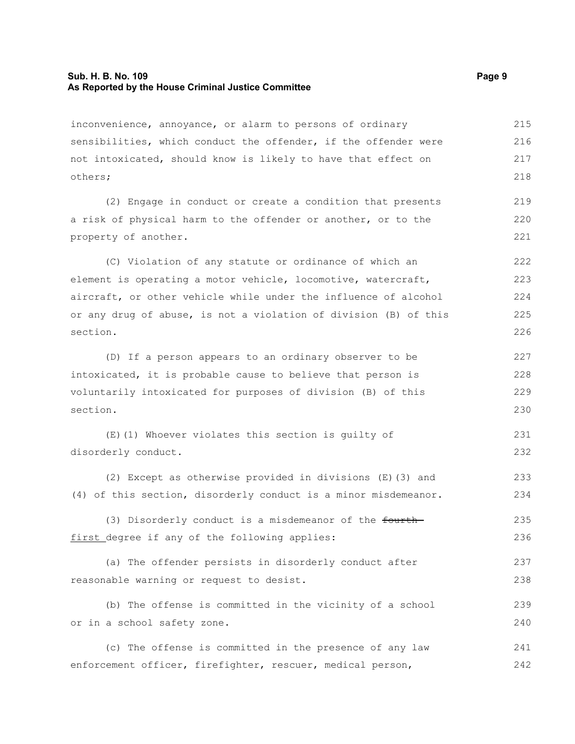#### **Sub. H. B. No. 109 Page 9 As Reported by the House Criminal Justice Committee**

inconvenience, annoyance, or alarm to persons of ordinary sensibilities, which conduct the offender, if the offender were not intoxicated, should know is likely to have that effect on others; 215 216 217 218

(2) Engage in conduct or create a condition that presents a risk of physical harm to the offender or another, or to the property of another. 219 220 221

(C) Violation of any statute or ordinance of which an element is operating a motor vehicle, locomotive, watercraft, aircraft, or other vehicle while under the influence of alcohol or any drug of abuse, is not a violation of division (B) of this section. 222 223 224 225 226

(D) If a person appears to an ordinary observer to be intoxicated, it is probable cause to believe that person is voluntarily intoxicated for purposes of division (B) of this section. 227 228 229 230

(E)(1) Whoever violates this section is guilty of disorderly conduct. 231 232

(2) Except as otherwise provided in divisions (E)(3) and (4) of this section, disorderly conduct is a minor misdemeanor.

(3) Disorderly conduct is a misdemeanor of the fourthfirst degree if any of the following applies: 235 236

(a) The offender persists in disorderly conduct after reasonable warning or request to desist. 237 238

(b) The offense is committed in the vicinity of a school or in a school safety zone. 239 240

(c) The offense is committed in the presence of any law enforcement officer, firefighter, rescuer, medical person, 241 242

233 234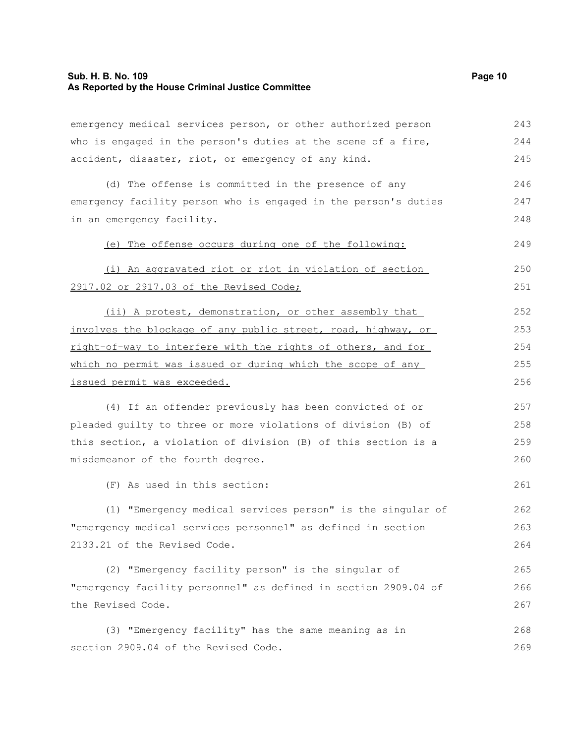emergency medical services person, or other authorized person who is engaged in the person's duties at the scene of a fire, accident, disaster, riot, or emergency of any kind. (d) The offense is committed in the presence of any emergency facility person who is engaged in the person's duties in an emergency facility. (e) The offense occurs during one of the following: (i) An aggravated riot or riot in violation of section 2917.02 or 2917.03 of the Revised Code; (ii) A protest, demonstration, or other assembly that involves the blockage of any public street, road, highway, or right-of-way to interfere with the rights of others, and for which no permit was issued or during which the scope of any issued permit was exceeded. (4) If an offender previously has been convicted of or pleaded guilty to three or more violations of division (B) of this section, a violation of division (B) of this section is a misdemeanor of the fourth degree. (F) As used in this section: (1) "Emergency medical services person" is the singular of "emergency medical services personnel" as defined in section 2133.21 of the Revised Code. (2) "Emergency facility person" is the singular of "emergency facility personnel" as defined in section 2909.04 of the Revised Code. (3) "Emergency facility" has the same meaning as in section 2909.04 of the Revised Code. 243 244 245 246 247 248 249 250 251 252 253 254 255 256 257 258 259 260 261 262 263 264 265 266 267 268 269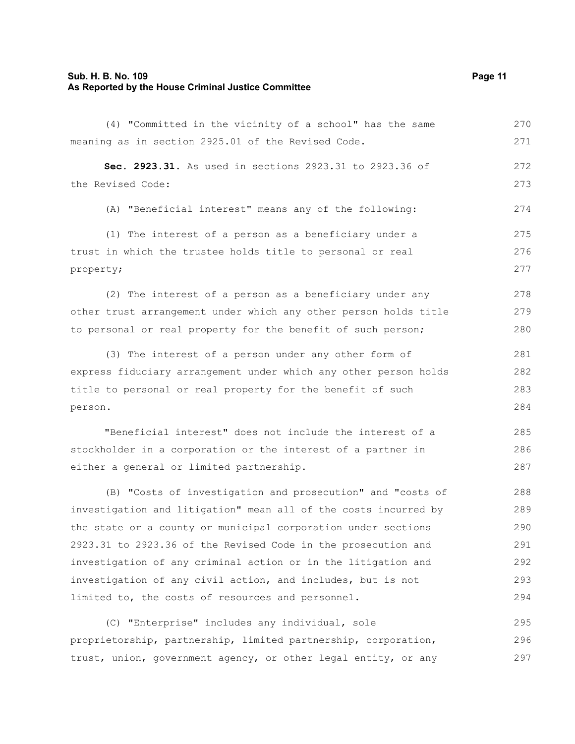#### **Sub. H. B. No. 109 Page 11 As Reported by the House Criminal Justice Committee**

(4) "Committed in the vicinity of a school" has the same meaning as in section 2925.01 of the Revised Code. **Sec. 2923.31.** As used in sections 2923.31 to 2923.36 of the Revised Code: (A) "Beneficial interest" means any of the following: (1) The interest of a person as a beneficiary under a trust in which the trustee holds title to personal or real property; (2) The interest of a person as a beneficiary under any other trust arrangement under which any other person holds title to personal or real property for the benefit of such person; (3) The interest of a person under any other form of express fiduciary arrangement under which any other person holds title to personal or real property for the benefit of such person. "Beneficial interest" does not include the interest of a stockholder in a corporation or the interest of a partner in either a general or limited partnership. (B) "Costs of investigation and prosecution" and "costs of investigation and litigation" mean all of the costs incurred by the state or a county or municipal corporation under sections 2923.31 to 2923.36 of the Revised Code in the prosecution and investigation of any criminal action or in the litigation and investigation of any civil action, and includes, but is not limited to, the costs of resources and personnel. (C) "Enterprise" includes any individual, sole proprietorship, partnership, limited partnership, corporation, trust, union, government agency, or other legal entity, or any 270 271 272 273 274 275 276 277 278 279 280 281 282 283 284 285 286 287 288 289 290 291 292 293 294 295 296 297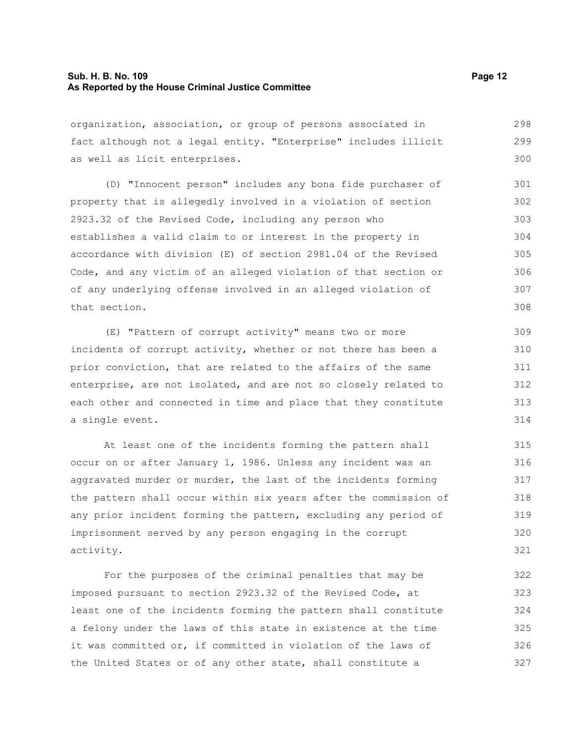#### **Sub. H. B. No. 109 Page 12 As Reported by the House Criminal Justice Committee**

organization, association, or group of persons associated in fact although not a legal entity. "Enterprise" includes illicit as well as licit enterprises. 298 299 300

(D) "Innocent person" includes any bona fide purchaser of property that is allegedly involved in a violation of section 2923.32 of the Revised Code, including any person who establishes a valid claim to or interest in the property in accordance with division (E) of section 2981.04 of the Revised Code, and any victim of an alleged violation of that section or of any underlying offense involved in an alleged violation of that section. 301 302 303 304 305 306 307 308

(E) "Pattern of corrupt activity" means two or more incidents of corrupt activity, whether or not there has been a prior conviction, that are related to the affairs of the same enterprise, are not isolated, and are not so closely related to each other and connected in time and place that they constitute a single event.

At least one of the incidents forming the pattern shall occur on or after January 1, 1986. Unless any incident was an aggravated murder or murder, the last of the incidents forming the pattern shall occur within six years after the commission of any prior incident forming the pattern, excluding any period of imprisonment served by any person engaging in the corrupt activity. 315 316 317 318 319 320 321

For the purposes of the criminal penalties that may be imposed pursuant to section 2923.32 of the Revised Code, at least one of the incidents forming the pattern shall constitute a felony under the laws of this state in existence at the time it was committed or, if committed in violation of the laws of the United States or of any other state, shall constitute a 322 323 324 325 326 327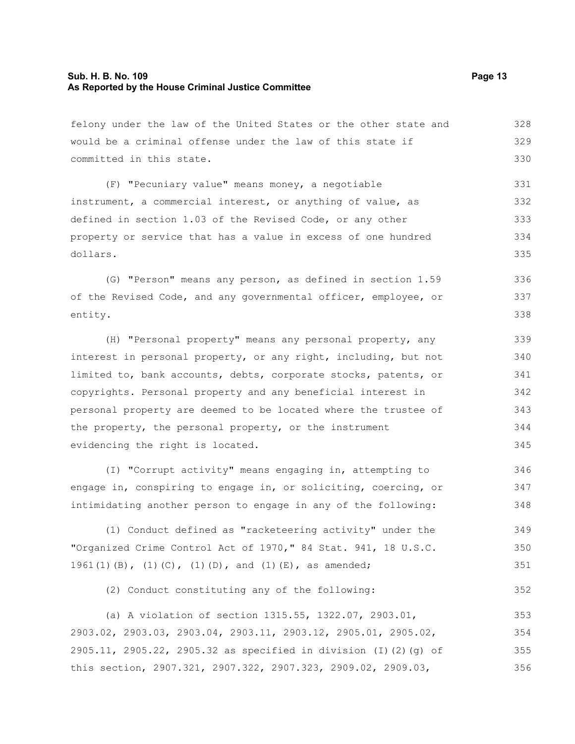#### **Sub. H. B. No. 109 Page 13 As Reported by the House Criminal Justice Committee**

felony under the law of the United States or the other state and would be a criminal offense under the law of this state if committed in this state. (F) "Pecuniary value" means money, a negotiable instrument, a commercial interest, or anything of value, as defined in section 1.03 of the Revised Code, or any other property or service that has a value in excess of one hundred dollars. (G) "Person" means any person, as defined in section 1.59 of the Revised Code, and any governmental officer, employee, or entity. (H) "Personal property" means any personal property, any interest in personal property, or any right, including, but not limited to, bank accounts, debts, corporate stocks, patents, or copyrights. Personal property and any beneficial interest in personal property are deemed to be located where the trustee of the property, the personal property, or the instrument evidencing the right is located. (I) "Corrupt activity" means engaging in, attempting to engage in, conspiring to engage in, or soliciting, coercing, or intimidating another person to engage in any of the following: (1) Conduct defined as "racketeering activity" under the 328 329 330 331 332 333 334 335 336 337 338 339 340 341 342 343 344 345 346 347 348 349

"Organized Crime Control Act of 1970," 84 Stat. 941, 18 U.S.C. 1961(1)(B), (1)(C), (1)(D), and (1)(E), as amended; 350 351

(2) Conduct constituting any of the following:

(a) A violation of section 1315.55, 1322.07, 2903.01, 2903.02, 2903.03, 2903.04, 2903.11, 2903.12, 2905.01, 2905.02, 2905.11, 2905.22, 2905.32 as specified in division (I)(2)(g) of this section, 2907.321, 2907.322, 2907.323, 2909.02, 2909.03, 353 354 355 356

352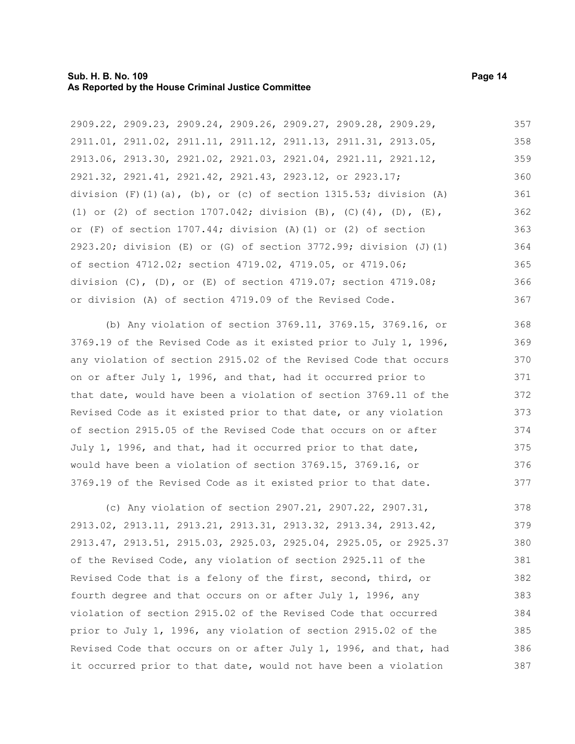#### **Sub. H. B. No. 109 Page 14 As Reported by the House Criminal Justice Committee**

2909.22, 2909.23, 2909.24, 2909.26, 2909.27, 2909.28, 2909.29, 2911.01, 2911.02, 2911.11, 2911.12, 2911.13, 2911.31, 2913.05, 2913.06, 2913.30, 2921.02, 2921.03, 2921.04, 2921.11, 2921.12, 2921.32, 2921.41, 2921.42, 2921.43, 2923.12, or 2923.17; division  $(F)$  (1)(a), (b), or (c) of section 1315.53; division (A) (1) or (2) of section 1707.042; division (B), (C)(4), (D), (E), or (F) of section 1707.44; division (A)(1) or (2) of section 2923.20; division (E) or (G) of section 3772.99; division (J)(1) of section 4712.02; section 4719.02, 4719.05, or 4719.06; division (C), (D), or (E) of section 4719.07; section 4719.08; or division (A) of section 4719.09 of the Revised Code. 357 358 359 360 361 362 363 364 365 366 367

(b) Any violation of section 3769.11, 3769.15, 3769.16, or 3769.19 of the Revised Code as it existed prior to July 1, 1996, any violation of section 2915.02 of the Revised Code that occurs on or after July 1, 1996, and that, had it occurred prior to that date, would have been a violation of section 3769.11 of the Revised Code as it existed prior to that date, or any violation of section 2915.05 of the Revised Code that occurs on or after July 1, 1996, and that, had it occurred prior to that date, would have been a violation of section 3769.15, 3769.16, or 3769.19 of the Revised Code as it existed prior to that date. 368 369 370 371 372 373 374 375 376 377

(c) Any violation of section 2907.21, 2907.22, 2907.31, 2913.02, 2913.11, 2913.21, 2913.31, 2913.32, 2913.34, 2913.42, 2913.47, 2913.51, 2915.03, 2925.03, 2925.04, 2925.05, or 2925.37 of the Revised Code, any violation of section 2925.11 of the Revised Code that is a felony of the first, second, third, or fourth degree and that occurs on or after July 1, 1996, any violation of section 2915.02 of the Revised Code that occurred prior to July 1, 1996, any violation of section 2915.02 of the Revised Code that occurs on or after July 1, 1996, and that, had it occurred prior to that date, would not have been a violation 378 379 380 381 382 383 384 385 386 387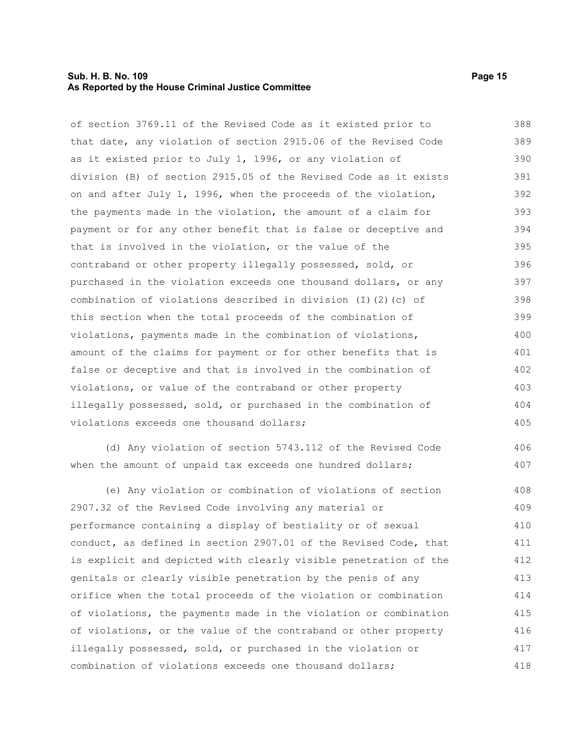#### **Sub. H. B. No. 109 Page 15 As Reported by the House Criminal Justice Committee**

of section 3769.11 of the Revised Code as it existed prior to that date, any violation of section 2915.06 of the Revised Code as it existed prior to July 1, 1996, or any violation of division (B) of section 2915.05 of the Revised Code as it exists on and after July 1, 1996, when the proceeds of the violation, the payments made in the violation, the amount of a claim for payment or for any other benefit that is false or deceptive and that is involved in the violation, or the value of the contraband or other property illegally possessed, sold, or purchased in the violation exceeds one thousand dollars, or any combination of violations described in division (I)(2)(c) of this section when the total proceeds of the combination of violations, payments made in the combination of violations, amount of the claims for payment or for other benefits that is false or deceptive and that is involved in the combination of violations, or value of the contraband or other property illegally possessed, sold, or purchased in the combination of violations exceeds one thousand dollars; 388 389 390 391 392 393 394 395 396 397 398 399 400 401 402 403 404 405

(d) Any violation of section 5743.112 of the Revised Code when the amount of unpaid tax exceeds one hundred dollars; 406 407

(e) Any violation or combination of violations of section 2907.32 of the Revised Code involving any material or performance containing a display of bestiality or of sexual conduct, as defined in section 2907.01 of the Revised Code, that is explicit and depicted with clearly visible penetration of the genitals or clearly visible penetration by the penis of any orifice when the total proceeds of the violation or combination of violations, the payments made in the violation or combination of violations, or the value of the contraband or other property illegally possessed, sold, or purchased in the violation or combination of violations exceeds one thousand dollars; 408 409 410 411 412 413 414 415 416 417 418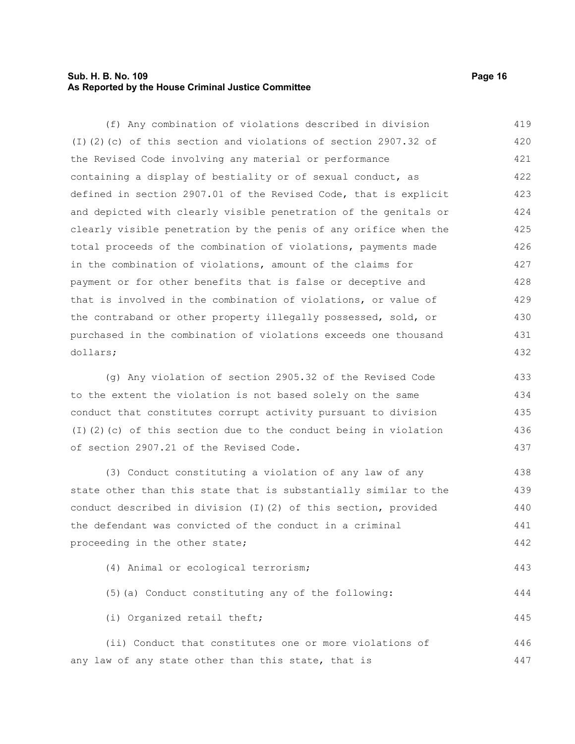### **Sub. H. B. No. 109 Page 16 As Reported by the House Criminal Justice Committee**

(f) Any combination of violations described in division (I)(2)(c) of this section and violations of section 2907.32 of the Revised Code involving any material or performance containing a display of bestiality or of sexual conduct, as defined in section 2907.01 of the Revised Code, that is explicit and depicted with clearly visible penetration of the genitals or clearly visible penetration by the penis of any orifice when the total proceeds of the combination of violations, payments made in the combination of violations, amount of the claims for payment or for other benefits that is false or deceptive and that is involved in the combination of violations, or value of the contraband or other property illegally possessed, sold, or purchased in the combination of violations exceeds one thousand dollars; 419 420 421 422 423 424 425 426 427 428 429 430 431 432

(g) Any violation of section 2905.32 of the Revised Code to the extent the violation is not based solely on the same conduct that constitutes corrupt activity pursuant to division (I)(2)(c) of this section due to the conduct being in violation of section 2907.21 of the Revised Code. 433 434 435 436 437

(3) Conduct constituting a violation of any law of any state other than this state that is substantially similar to the conduct described in division (I)(2) of this section, provided the defendant was convicted of the conduct in a criminal proceeding in the other state; (4) Animal or ecological terrorism; (5)(a) Conduct constituting any of the following: (i) Organized retail theft; 438 439 440 441 442 443 444 445

(ii) Conduct that constitutes one or more violations of any law of any state other than this state, that is 446 447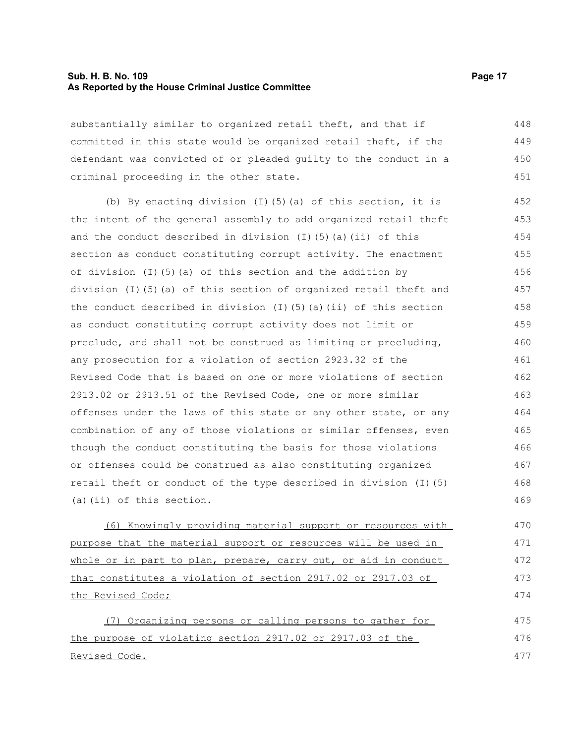#### **Sub. H. B. No. 109 Page 17 As Reported by the House Criminal Justice Committee**

substantially similar to organized retail theft, and that if committed in this state would be organized retail theft, if the defendant was convicted of or pleaded guilty to the conduct in a criminal proceeding in the other state. 448 449 450 451

(b) By enacting division (I)(5)(a) of this section, it is the intent of the general assembly to add organized retail theft and the conduct described in division  $(I)$  (5)(a)(ii) of this section as conduct constituting corrupt activity. The enactment of division (I)(5)(a) of this section and the addition by division (I)(5)(a) of this section of organized retail theft and the conduct described in division  $(I)$  (5)(a)(ii) of this section as conduct constituting corrupt activity does not limit or preclude, and shall not be construed as limiting or precluding, any prosecution for a violation of section 2923.32 of the Revised Code that is based on one or more violations of section 2913.02 or 2913.51 of the Revised Code, one or more similar offenses under the laws of this state or any other state, or any combination of any of those violations or similar offenses, even though the conduct constituting the basis for those violations or offenses could be construed as also constituting organized retail theft or conduct of the type described in division (I)(5) (a)(ii) of this section. 452 453 454 455 456 457 458 459 460 461 462 463 464 465 466 467 468 469

(6) Knowingly providing material support or resources with purpose that the material support or resources will be used in whole or in part to plan, prepare, carry out, or aid in conduct that constitutes a violation of section 2917.02 or 2917.03 of the Revised Code;

(7) Organizing persons or calling persons to gather for the purpose of violating section 2917.02 or 2917.03 of the Revised Code. 475 476 477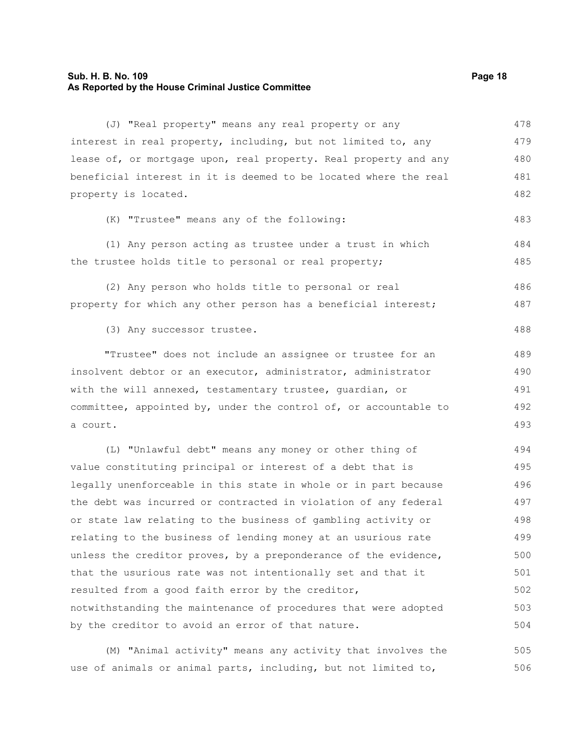#### **Sub. H. B. No. 109 Page 18 As Reported by the House Criminal Justice Committee**

(J) "Real property" means any real property or any interest in real property, including, but not limited to, any lease of, or mortgage upon, real property. Real property and any beneficial interest in it is deemed to be located where the real property is located. (K) "Trustee" means any of the following: (1) Any person acting as trustee under a trust in which the trustee holds title to personal or real property; (2) Any person who holds title to personal or real property for which any other person has a beneficial interest; (3) Any successor trustee. "Trustee" does not include an assignee or trustee for an insolvent debtor or an executor, administrator, administrator with the will annexed, testamentary trustee, guardian, or committee, appointed by, under the control of, or accountable to a court. (L) "Unlawful debt" means any money or other thing of value constituting principal or interest of a debt that is legally unenforceable in this state in whole or in part because the debt was incurred or contracted in violation of any federal or state law relating to the business of gambling activity or relating to the business of lending money at an usurious rate unless the creditor proves, by a preponderance of the evidence, that the usurious rate was not intentionally set and that it resulted from a good faith error by the creditor, notwithstanding the maintenance of procedures that were adopted by the creditor to avoid an error of that nature. 478 479 480 481 482 483 484 485 486 487 488 489 490 491 492 493 494 495 496 497 498 499 500 501 502 503 504

(M) "Animal activity" means any activity that involves the use of animals or animal parts, including, but not limited to, 505 506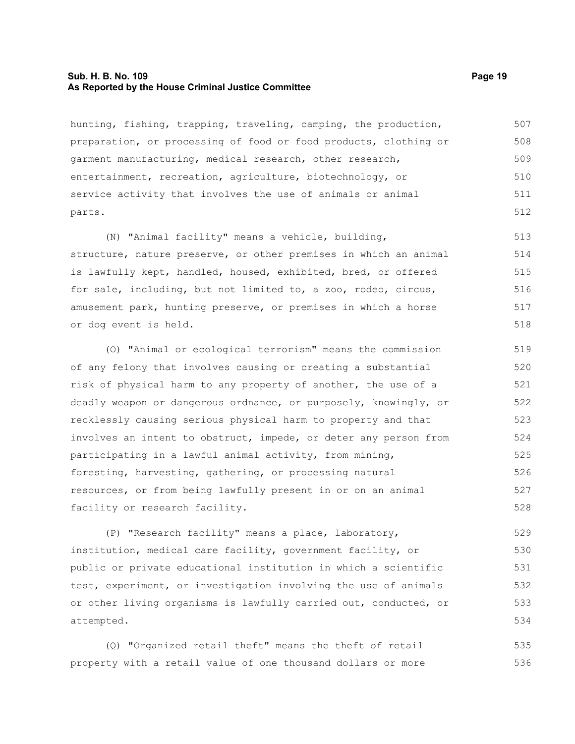#### **Sub. H. B. No. 109 Page 19 As Reported by the House Criminal Justice Committee**

hunting, fishing, trapping, traveling, camping, the production, preparation, or processing of food or food products, clothing or garment manufacturing, medical research, other research, entertainment, recreation, agriculture, biotechnology, or service activity that involves the use of animals or animal parts. 507 508 509 510 511 512

(N) "Animal facility" means a vehicle, building, structure, nature preserve, or other premises in which an animal is lawfully kept, handled, housed, exhibited, bred, or offered for sale, including, but not limited to, a zoo, rodeo, circus, amusement park, hunting preserve, or premises in which a horse or dog event is held. 513 514 515 516 517 518

(O) "Animal or ecological terrorism" means the commission of any felony that involves causing or creating a substantial risk of physical harm to any property of another, the use of a deadly weapon or dangerous ordnance, or purposely, knowingly, or recklessly causing serious physical harm to property and that involves an intent to obstruct, impede, or deter any person from participating in a lawful animal activity, from mining, foresting, harvesting, gathering, or processing natural resources, or from being lawfully present in or on an animal facility or research facility. 519 520 521 522 523 524 525 526 527 528

(P) "Research facility" means a place, laboratory, institution, medical care facility, government facility, or public or private educational institution in which a scientific test, experiment, or investigation involving the use of animals or other living organisms is lawfully carried out, conducted, or attempted. 529 530 531 532 533 534

(Q) "Organized retail theft" means the theft of retail property with a retail value of one thousand dollars or more 535 536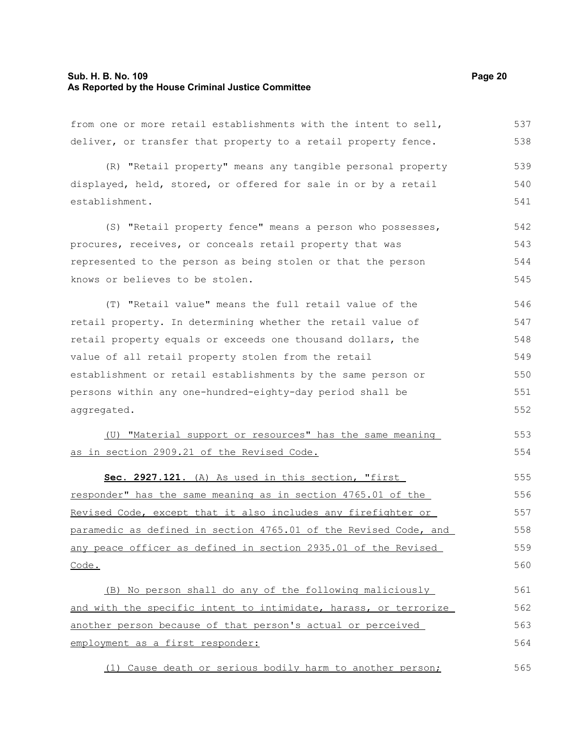#### **Sub. H. B. No. 109 Page 20 As Reported by the House Criminal Justice Committee**

from one or more retail establishments with the intent to sell, deliver, or transfer that property to a retail property fence. 537 538

(R) "Retail property" means any tangible personal property displayed, held, stored, or offered for sale in or by a retail establishment. 539 540 541

(S) "Retail property fence" means a person who possesses, procures, receives, or conceals retail property that was represented to the person as being stolen or that the person knows or believes to be stolen. 542 543 544 545

(T) "Retail value" means the full retail value of the retail property. In determining whether the retail value of retail property equals or exceeds one thousand dollars, the value of all retail property stolen from the retail establishment or retail establishments by the same person or persons within any one-hundred-eighty-day period shall be aggregated. 546 547 548 549 550 551 552

(U) "Material support or resources" has the same meaning as in section 2909.21 of the Revised Code. 553 554

 **Sec. 2927.121.** (A) As used in this section, "first responder" has the same meaning as in section 4765.01 of the Revised Code, except that it also includes any firefighter or paramedic as defined in section 4765.01 of the Revised Code, and any peace officer as defined in section 2935.01 of the Revised Code. 555 556 557 558 559 560

(B) No person shall do any of the following maliciously and with the specific intent to intimidate, harass, or terrorize another person because of that person's actual or perceived employment as a first responder: 561 562 563 564

(1) Cause death or serious bodily harm to another person; 565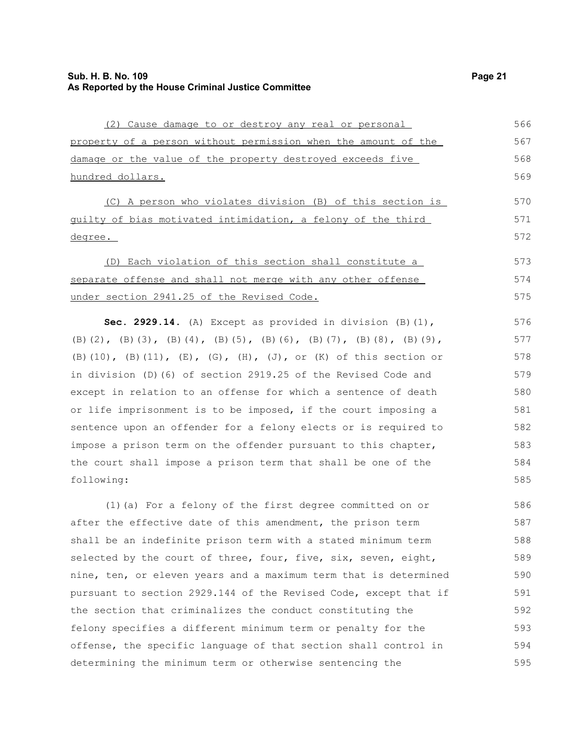| (2) Cause damage to or destroy any real or personal            | 566 |
|----------------------------------------------------------------|-----|
| property of a person without permission when the amount of the | 567 |
| damage or the value of the property destroyed exceeds five     | 568 |
| hundred dollars.                                               | 569 |

(C) A person who violates division (B) of this section is guilty of bias motivated intimidation, a felony of the third degree.

(D) Each violation of this section shall constitute a separate offense and shall not merge with any other offense under section 2941.25 of the Revised Code. 573 574 575

**Sec. 2929.14.** (A) Except as provided in division (B)(1), (B)(2), (B)(3), (B)(4), (B)(5), (B)(6), (B)(7), (B)(8), (B)(9), (B)(10), (B)(11), (E), (G), (H), (J), or (K) of this section or in division (D)(6) of section 2919.25 of the Revised Code and except in relation to an offense for which a sentence of death or life imprisonment is to be imposed, if the court imposing a sentence upon an offender for a felony elects or is required to impose a prison term on the offender pursuant to this chapter, the court shall impose a prison term that shall be one of the following:

(1)(a) For a felony of the first degree committed on or after the effective date of this amendment, the prison term shall be an indefinite prison term with a stated minimum term selected by the court of three, four, five, six, seven, eight, nine, ten, or eleven years and a maximum term that is determined pursuant to section 2929.144 of the Revised Code, except that if the section that criminalizes the conduct constituting the felony specifies a different minimum term or penalty for the offense, the specific language of that section shall control in determining the minimum term or otherwise sentencing the 586 587 588 589 590 591 592 593 594 595

570 571 572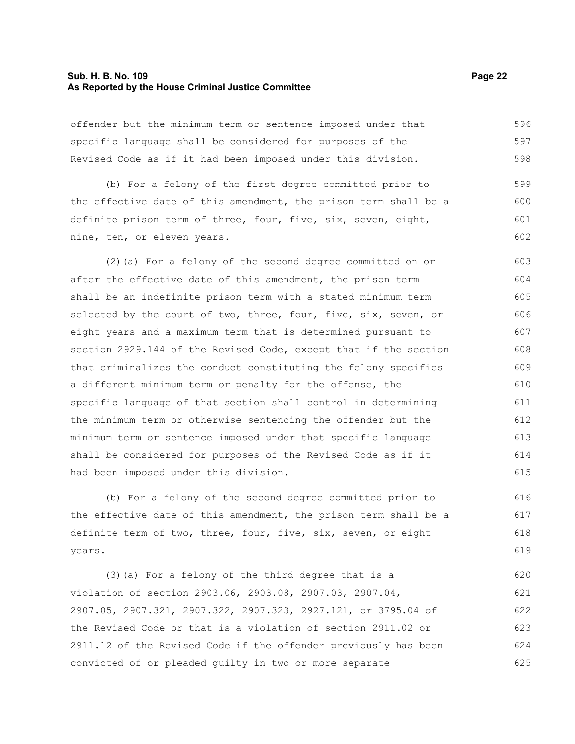#### **Sub. H. B. No. 109 Page 22 As Reported by the House Criminal Justice Committee**

offender but the minimum term or sentence imposed under that specific language shall be considered for purposes of the Revised Code as if it had been imposed under this division. (b) For a felony of the first degree committed prior to the effective date of this amendment, the prison term shall be a definite prison term of three, four, five, six, seven, eight, nine, ten, or eleven years. (2)(a) For a felony of the second degree committed on or after the effective date of this amendment, the prison term shall be an indefinite prison term with a stated minimum term selected by the court of two, three, four, five, six, seven, or eight years and a maximum term that is determined pursuant to section 2929.144 of the Revised Code, except that if the section that criminalizes the conduct constituting the felony specifies a different minimum term or penalty for the offense, the specific language of that section shall control in determining the minimum term or otherwise sentencing the offender but the minimum term or sentence imposed under that specific language shall be considered for purposes of the Revised Code as if it had been imposed under this division. (b) For a felony of the second degree committed prior to 596 597 598 599 600 601 602 603 604 605 606 607 608 609 610 611 612 613 614 615 616

the effective date of this amendment, the prison term shall be a definite term of two, three, four, five, six, seven, or eight years. 617 618 619

(3)(a) For a felony of the third degree that is a violation of section 2903.06, 2903.08, 2907.03, 2907.04, 2907.05, 2907.321, 2907.322, 2907.323, 2927.121, or 3795.04 of the Revised Code or that is a violation of section 2911.02 or 2911.12 of the Revised Code if the offender previously has been convicted of or pleaded guilty in two or more separate 620 621 622 623 624 625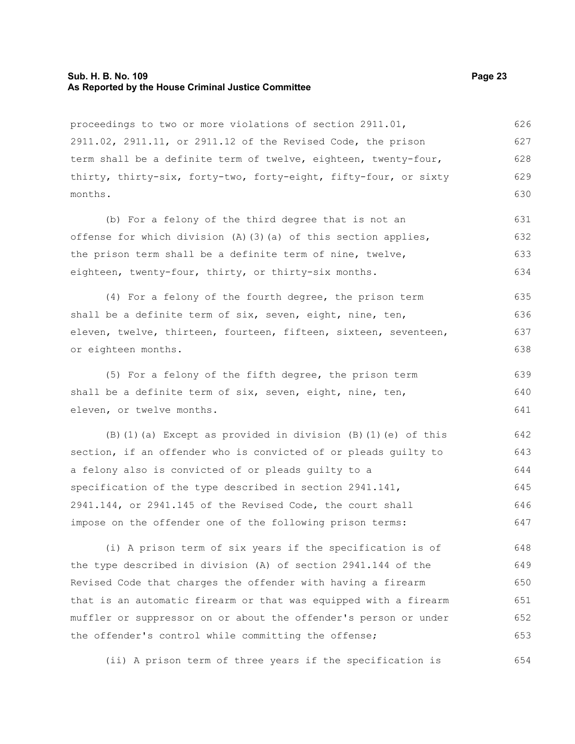#### **Sub. H. B. No. 109 Page 23 As Reported by the House Criminal Justice Committee**

proceedings to two or more violations of section 2911.01, 2911.02, 2911.11, or 2911.12 of the Revised Code, the prison term shall be a definite term of twelve, eighteen, twenty-four, thirty, thirty-six, forty-two, forty-eight, fifty-four, or sixty months. 626 627 628 629 630

(b) For a felony of the third degree that is not an offense for which division  $(A)$  (3)(a) of this section applies, the prison term shall be a definite term of nine, twelve, eighteen, twenty-four, thirty, or thirty-six months. 631 632 633 634

(4) For a felony of the fourth degree, the prison term shall be a definite term of six, seven, eight, nine, ten, eleven, twelve, thirteen, fourteen, fifteen, sixteen, seventeen, or eighteen months. 635 636 637 638

(5) For a felony of the fifth degree, the prison term shall be a definite term of six, seven, eight, nine, ten, eleven, or twelve months. 639 640 641

(B)(1)(a) Except as provided in division (B)(1)(e) of this section, if an offender who is convicted of or pleads guilty to a felony also is convicted of or pleads guilty to a specification of the type described in section 2941.141, 2941.144, or 2941.145 of the Revised Code, the court shall impose on the offender one of the following prison terms: 642 643 644 645 646 647

(i) A prison term of six years if the specification is of the type described in division (A) of section 2941.144 of the Revised Code that charges the offender with having a firearm that is an automatic firearm or that was equipped with a firearm muffler or suppressor on or about the offender's person or under the offender's control while committing the offense; 648 649 650 651 652 653

(ii) A prison term of three years if the specification is 654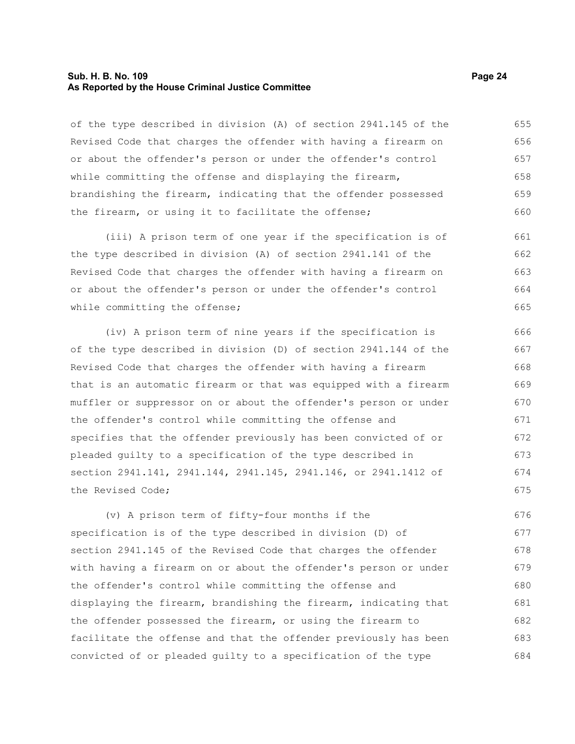#### **Sub. H. B. No. 109 Page 24 As Reported by the House Criminal Justice Committee**

of the type described in division (A) of section 2941.145 of the Revised Code that charges the offender with having a firearm on or about the offender's person or under the offender's control while committing the offense and displaying the firearm, brandishing the firearm, indicating that the offender possessed the firearm, or using it to facilitate the offense; 655 656 657 658 659 660

(iii) A prison term of one year if the specification is of the type described in division (A) of section 2941.141 of the Revised Code that charges the offender with having a firearm on or about the offender's person or under the offender's control while committing the offense; 661 662 663 664 665

(iv) A prison term of nine years if the specification is of the type described in division (D) of section 2941.144 of the Revised Code that charges the offender with having a firearm that is an automatic firearm or that was equipped with a firearm muffler or suppressor on or about the offender's person or under the offender's control while committing the offense and specifies that the offender previously has been convicted of or pleaded guilty to a specification of the type described in section 2941.141, 2941.144, 2941.145, 2941.146, or 2941.1412 of the Revised Code; 666 667 668 669 670 671 672 673 674 675

(v) A prison term of fifty-four months if the specification is of the type described in division (D) of section 2941.145 of the Revised Code that charges the offender with having a firearm on or about the offender's person or under the offender's control while committing the offense and displaying the firearm, brandishing the firearm, indicating that the offender possessed the firearm, or using the firearm to facilitate the offense and that the offender previously has been convicted of or pleaded guilty to a specification of the type 676 677 678 679 680 681 682 683 684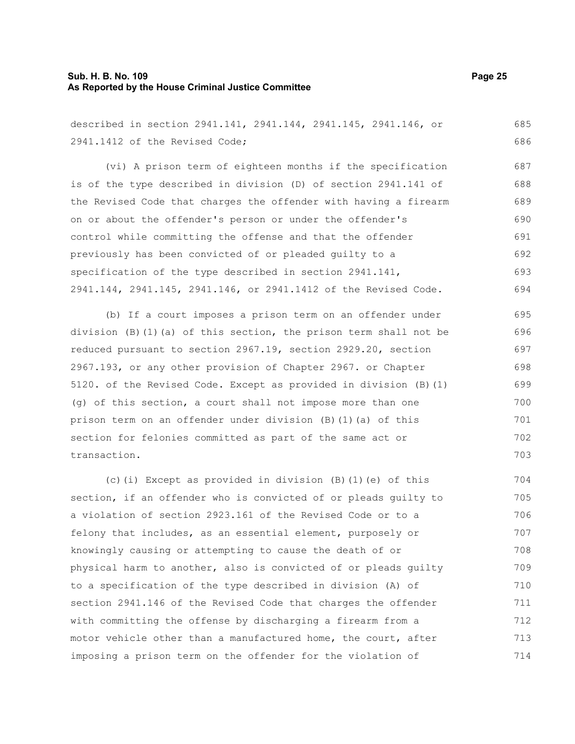# **Sub. H. B. No. 109 Page 25 As Reported by the House Criminal Justice Committee**

712

| described in section 2941.141, 2941.144, 2941.145, 2941.146, or   | 685 |
|-------------------------------------------------------------------|-----|
| 2941.1412 of the Revised Code;                                    | 686 |
| (vi) A prison term of eighteen months if the specification        | 687 |
| is of the type described in division (D) of section 2941.141 of   | 688 |
| the Revised Code that charges the offender with having a firearm  | 689 |
| on or about the offender's person or under the offender's         | 690 |
| control while committing the offense and that the offender        | 691 |
| previously has been convicted of or pleaded guilty to a           | 692 |
| specification of the type described in section 2941.141,          | 693 |
| 2941.144, 2941.145, 2941.146, or 2941.1412 of the Revised Code.   | 694 |
| (b) If a court imposes a prison term on an offender under         | 695 |
| division (B)(1)(a) of this section, the prison term shall not be  | 696 |
| reduced pursuant to section 2967.19, section 2929.20, section     | 697 |
| 2967.193, or any other provision of Chapter 2967. or Chapter      | 698 |
| 5120. of the Revised Code. Except as provided in division (B) (1) | 699 |
| (g) of this section, a court shall not impose more than one       | 700 |
| prison term on an offender under division (B)(1)(a) of this       | 701 |
| section for felonies committed as part of the same act or         | 702 |
| transaction.                                                      | 703 |
| (c) (i) Except as provided in division $(B)$ (1) (e) of this      | 704 |
| section, if an offender who is convicted of or pleads guilty to   | 705 |
| a violation of section 2923.161 of the Revised Code or to a       | 706 |
| felony that includes, as an essential element, purposely or       | 707 |
| knowingly causing or attempting to cause the death of or          | 708 |
| physical harm to another, also is convicted of or pleads guilty   | 709 |
| to a specification of the type described in division (A) of       | 710 |
| section 2941.146 of the Revised Code that charges the offender    | 711 |
|                                                                   |     |

motor vehicle other than a manufactured home, the court, after imposing a prison term on the offender for the violation of 713 714

with committing the offense by discharging a firearm from a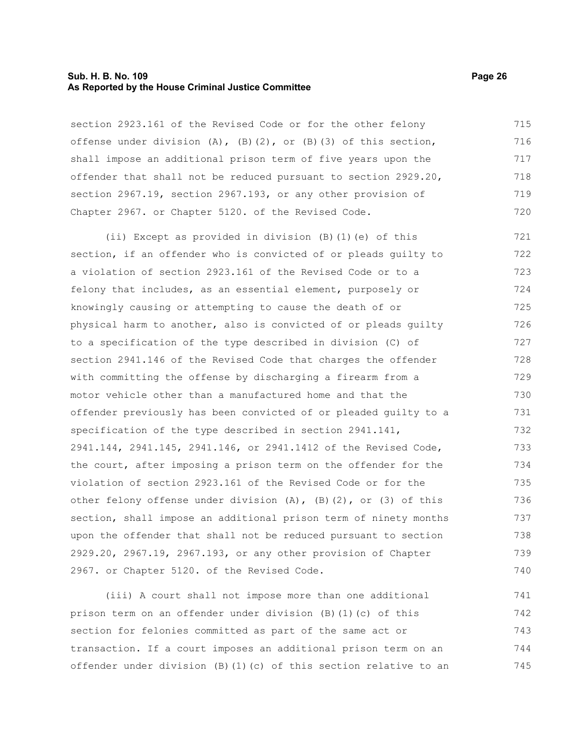#### **Sub. H. B. No. 109 Page 26 As Reported by the House Criminal Justice Committee**

section 2923.161 of the Revised Code or for the other felony offense under division  $(A)$ ,  $(B)$ (2), or  $(B)$ (3) of this section, shall impose an additional prison term of five years upon the offender that shall not be reduced pursuant to section 2929.20, section 2967.19, section 2967.193, or any other provision of Chapter 2967. or Chapter 5120. of the Revised Code. 715 716 717 718 719 720

(ii) Except as provided in division (B)(1)(e) of this section, if an offender who is convicted of or pleads guilty to a violation of section 2923.161 of the Revised Code or to a felony that includes, as an essential element, purposely or knowingly causing or attempting to cause the death of or physical harm to another, also is convicted of or pleads guilty to a specification of the type described in division (C) of section 2941.146 of the Revised Code that charges the offender with committing the offense by discharging a firearm from a motor vehicle other than a manufactured home and that the offender previously has been convicted of or pleaded guilty to a specification of the type described in section 2941.141, 2941.144, 2941.145, 2941.146, or 2941.1412 of the Revised Code, the court, after imposing a prison term on the offender for the violation of section 2923.161 of the Revised Code or for the other felony offense under division  $(A)$ ,  $(B)$   $(2)$ , or  $(3)$  of this section, shall impose an additional prison term of ninety months upon the offender that shall not be reduced pursuant to section 2929.20, 2967.19, 2967.193, or any other provision of Chapter 2967. or Chapter 5120. of the Revised Code. 721 722 723 724 725 726 727 728 729 730 731 732 733 734 735 736 737 738 739 740

(iii) A court shall not impose more than one additional prison term on an offender under division (B)(1)(c) of this section for felonies committed as part of the same act or transaction. If a court imposes an additional prison term on an offender under division (B)(1)(c) of this section relative to an 741 742 743 744 745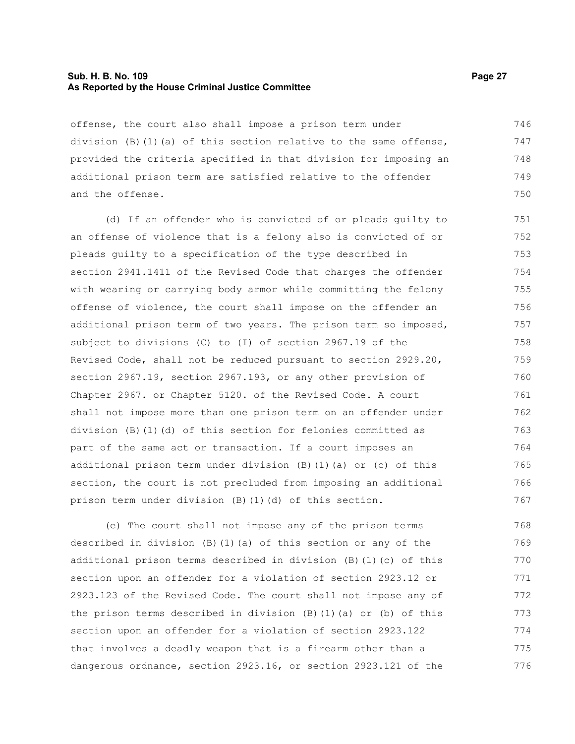#### **Sub. H. B. No. 109 Page 27 As Reported by the House Criminal Justice Committee**

offense, the court also shall impose a prison term under division (B)(1)(a) of this section relative to the same offense, provided the criteria specified in that division for imposing an additional prison term are satisfied relative to the offender and the offense. 746 747 748 749 750

(d) If an offender who is convicted of or pleads guilty to an offense of violence that is a felony also is convicted of or pleads guilty to a specification of the type described in section 2941.1411 of the Revised Code that charges the offender with wearing or carrying body armor while committing the felony offense of violence, the court shall impose on the offender an additional prison term of two years. The prison term so imposed, subject to divisions (C) to (I) of section 2967.19 of the Revised Code, shall not be reduced pursuant to section 2929.20, section 2967.19, section 2967.193, or any other provision of Chapter 2967. or Chapter 5120. of the Revised Code. A court shall not impose more than one prison term on an offender under division (B)(1)(d) of this section for felonies committed as part of the same act or transaction. If a court imposes an additional prison term under division (B)(1)(a) or (c) of this section, the court is not precluded from imposing an additional prison term under division (B)(1)(d) of this section. 751 752 753 754 755 756 757 758 759 760 761 762 763 764 765 766 767

(e) The court shall not impose any of the prison terms described in division  $(B)$  (1)(a) of this section or any of the additional prison terms described in division (B)(1)(c) of this section upon an offender for a violation of section 2923.12 or 2923.123 of the Revised Code. The court shall not impose any of the prison terms described in division  $(B)$  (1)(a) or (b) of this section upon an offender for a violation of section 2923.122 that involves a deadly weapon that is a firearm other than a dangerous ordnance, section 2923.16, or section 2923.121 of the 768 769 770 771 772 773 774 775 776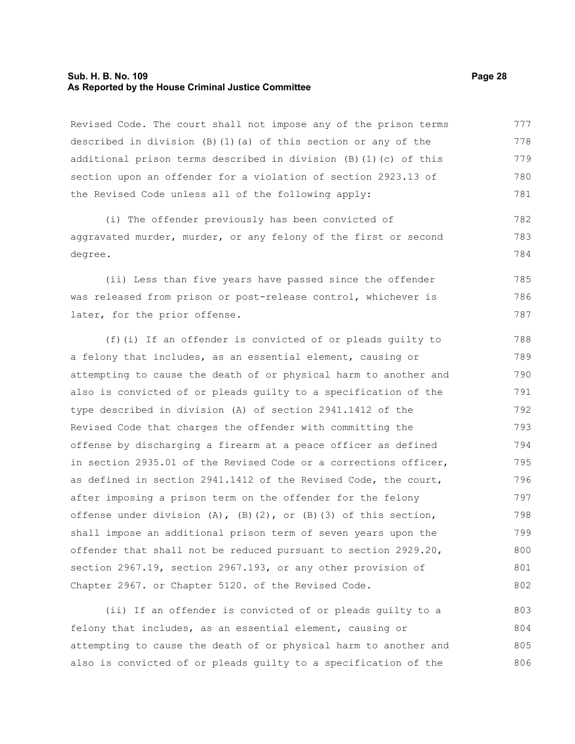#### **Sub. H. B. No. 109 Page 28 As Reported by the House Criminal Justice Committee**

Revised Code. The court shall not impose any of the prison terms described in division (B)(1)(a) of this section or any of the additional prison terms described in division (B)(1)(c) of this section upon an offender for a violation of section 2923.13 of the Revised Code unless all of the following apply: 777 778 779 780 781

(i) The offender previously has been convicted of aggravated murder, murder, or any felony of the first or second degree. 782 783 784

(ii) Less than five years have passed since the offender was released from prison or post-release control, whichever is later, for the prior offense. 785 786 787

(f)(i) If an offender is convicted of or pleads guilty to a felony that includes, as an essential element, causing or attempting to cause the death of or physical harm to another and also is convicted of or pleads guilty to a specification of the type described in division (A) of section 2941.1412 of the Revised Code that charges the offender with committing the offense by discharging a firearm at a peace officer as defined in section 2935.01 of the Revised Code or a corrections officer, as defined in section 2941.1412 of the Revised Code, the court, after imposing a prison term on the offender for the felony offense under division  $(A)$ ,  $(B)$   $(2)$ , or  $(B)$   $(3)$  of this section, shall impose an additional prison term of seven years upon the offender that shall not be reduced pursuant to section 2929.20, section 2967.19, section 2967.193, or any other provision of Chapter 2967. or Chapter 5120. of the Revised Code. 788 789 790 791 792 793 794 795 796 797 798 799 800 801 802

(ii) If an offender is convicted of or pleads guilty to a felony that includes, as an essential element, causing or attempting to cause the death of or physical harm to another and also is convicted of or pleads guilty to a specification of the 803 804 805 806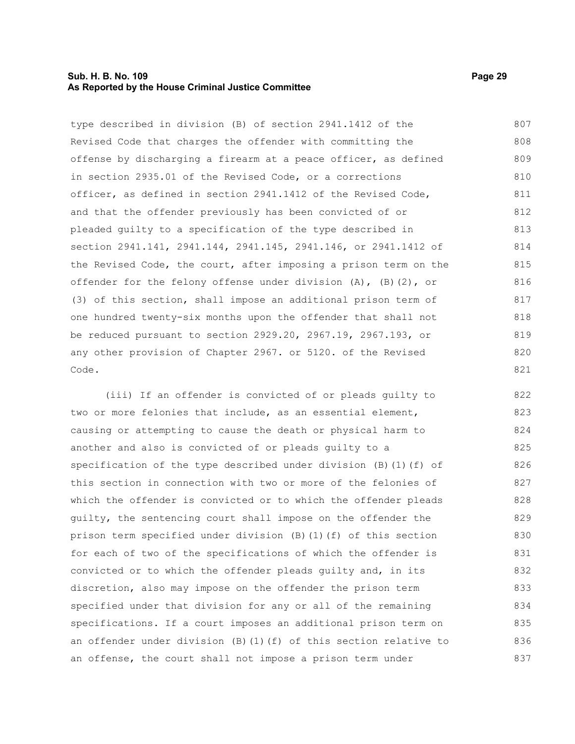#### **Sub. H. B. No. 109 Page 29 As Reported by the House Criminal Justice Committee**

type described in division (B) of section 2941.1412 of the Revised Code that charges the offender with committing the offense by discharging a firearm at a peace officer, as defined in section 2935.01 of the Revised Code, or a corrections officer, as defined in section 2941.1412 of the Revised Code, and that the offender previously has been convicted of or pleaded guilty to a specification of the type described in section 2941.141, 2941.144, 2941.145, 2941.146, or 2941.1412 of the Revised Code, the court, after imposing a prison term on the offender for the felony offense under division (A), (B)(2), or (3) of this section, shall impose an additional prison term of one hundred twenty-six months upon the offender that shall not be reduced pursuant to section 2929.20, 2967.19, 2967.193, or any other provision of Chapter 2967. or 5120. of the Revised Code. 807 808 809 810 811 812 813 814 815 816 817 818 819 820 821

(iii) If an offender is convicted of or pleads guilty to two or more felonies that include, as an essential element, causing or attempting to cause the death or physical harm to another and also is convicted of or pleads guilty to a specification of the type described under division (B)(1)(f) of this section in connection with two or more of the felonies of which the offender is convicted or to which the offender pleads guilty, the sentencing court shall impose on the offender the prison term specified under division (B)(1)(f) of this section for each of two of the specifications of which the offender is convicted or to which the offender pleads guilty and, in its discretion, also may impose on the offender the prison term specified under that division for any or all of the remaining specifications. If a court imposes an additional prison term on an offender under division (B)(1)(f) of this section relative to an offense, the court shall not impose a prison term under 822 823 824 825 826 827 828 829 830 831 832 833 834 835 836 837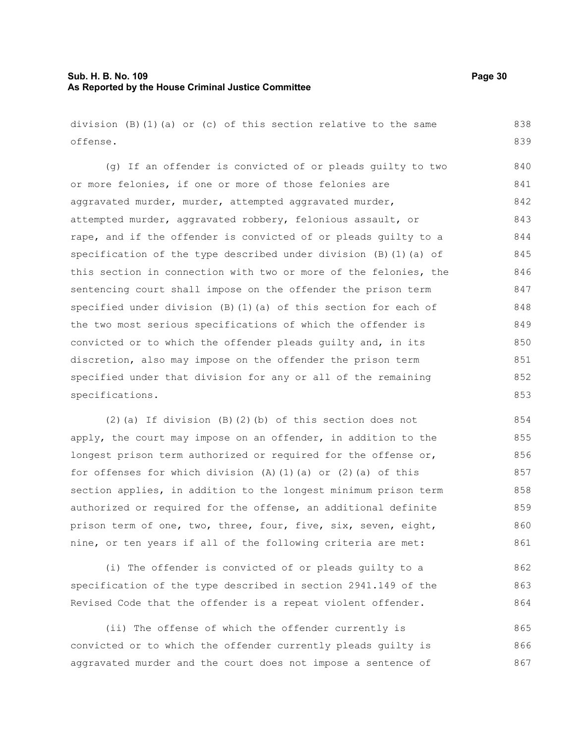### **Sub. H. B. No. 109 Page 30 As Reported by the House Criminal Justice Committee**

division (B)(1)(a) or (c) of this section relative to the same offense.

(g) If an offender is convicted of or pleads guilty to two or more felonies, if one or more of those felonies are aggravated murder, murder, attempted aggravated murder, attempted murder, aggravated robbery, felonious assault, or rape, and if the offender is convicted of or pleads guilty to a specification of the type described under division (B)(1)(a) of this section in connection with two or more of the felonies, the sentencing court shall impose on the offender the prison term specified under division (B)(1)(a) of this section for each of the two most serious specifications of which the offender is convicted or to which the offender pleads guilty and, in its discretion, also may impose on the offender the prison term specified under that division for any or all of the remaining specifications. 840 841 842 843 844 845 846 847 848 849 850 851 852 853

(2)(a) If division (B)(2)(b) of this section does not apply, the court may impose on an offender, in addition to the longest prison term authorized or required for the offense or, for offenses for which division  $(A)$   $(1)$   $(a)$  or  $(2)$   $(a)$  of this section applies, in addition to the longest minimum prison term authorized or required for the offense, an additional definite prison term of one, two, three, four, five, six, seven, eight, nine, or ten years if all of the following criteria are met:

(i) The offender is convicted of or pleads guilty to a specification of the type described in section 2941.149 of the Revised Code that the offender is a repeat violent offender.

(ii) The offense of which the offender currently is convicted or to which the offender currently pleads guilty is aggravated murder and the court does not impose a sentence of 865 866 867

838 839

862 863 864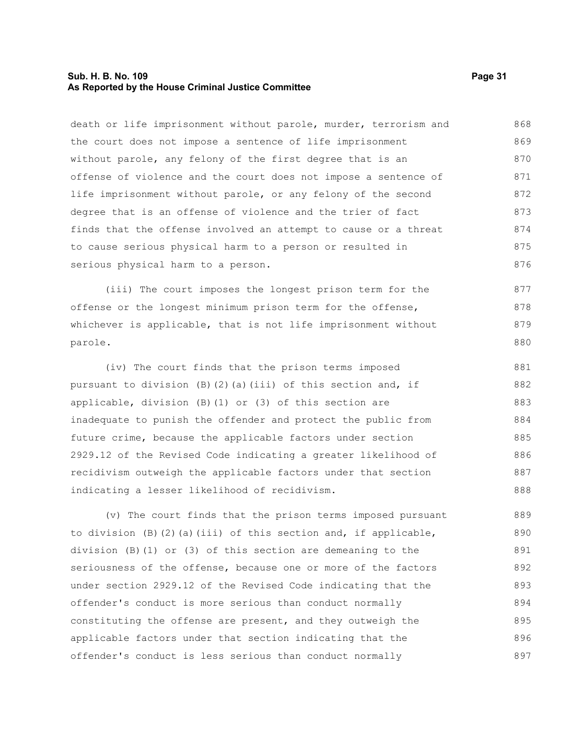#### **Sub. H. B. No. 109 Page 31 As Reported by the House Criminal Justice Committee**

death or life imprisonment without parole, murder, terrorism and the court does not impose a sentence of life imprisonment without parole, any felony of the first degree that is an offense of violence and the court does not impose a sentence of life imprisonment without parole, or any felony of the second degree that is an offense of violence and the trier of fact finds that the offense involved an attempt to cause or a threat to cause serious physical harm to a person or resulted in serious physical harm to a person. 868 869 870 871 872 873 874 875 876

(iii) The court imposes the longest prison term for the offense or the longest minimum prison term for the offense, whichever is applicable, that is not life imprisonment without parole. 877 878 879 880

(iv) The court finds that the prison terms imposed pursuant to division (B)(2)(a)(iii) of this section and, if applicable, division (B)(1) or (3) of this section are inadequate to punish the offender and protect the public from future crime, because the applicable factors under section 2929.12 of the Revised Code indicating a greater likelihood of recidivism outweigh the applicable factors under that section indicating a lesser likelihood of recidivism. 881 882 883 884 885 886 887 888

(v) The court finds that the prison terms imposed pursuant to division  $(B)$   $(2)$   $(a)$  (iii) of this section and, if applicable, division (B)(1) or (3) of this section are demeaning to the seriousness of the offense, because one or more of the factors under section 2929.12 of the Revised Code indicating that the offender's conduct is more serious than conduct normally constituting the offense are present, and they outweigh the applicable factors under that section indicating that the offender's conduct is less serious than conduct normally 889 890 891 892 893 894 895 896 897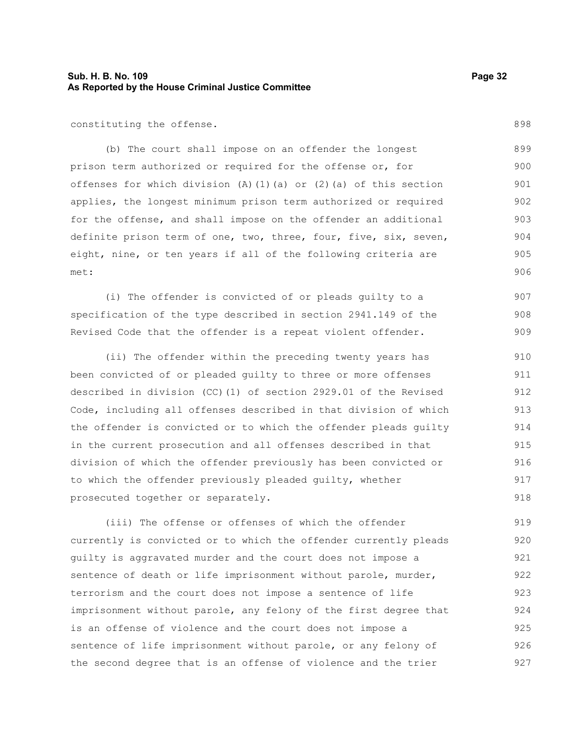### **Sub. H. B. No. 109 Page 32 As Reported by the House Criminal Justice Committee**

constituting the offense.

(b) The court shall impose on an offender the longest prison term authorized or required for the offense or, for offenses for which division  $(A)$   $(1)$   $(a)$  or  $(2)$   $(a)$  of this section applies, the longest minimum prison term authorized or required for the offense, and shall impose on the offender an additional definite prison term of one, two, three, four, five, six, seven, eight, nine, or ten years if all of the following criteria are met: 899 900 901 902 903 904 905 906

(i) The offender is convicted of or pleads guilty to a specification of the type described in section 2941.149 of the Revised Code that the offender is a repeat violent offender. 907 908 909

(ii) The offender within the preceding twenty years has been convicted of or pleaded guilty to three or more offenses described in division (CC)(1) of section 2929.01 of the Revised Code, including all offenses described in that division of which the offender is convicted or to which the offender pleads guilty in the current prosecution and all offenses described in that division of which the offender previously has been convicted or to which the offender previously pleaded guilty, whether prosecuted together or separately. 910 911 912 913 914 915 916 917 918

(iii) The offense or offenses of which the offender currently is convicted or to which the offender currently pleads guilty is aggravated murder and the court does not impose a sentence of death or life imprisonment without parole, murder, terrorism and the court does not impose a sentence of life imprisonment without parole, any felony of the first degree that is an offense of violence and the court does not impose a sentence of life imprisonment without parole, or any felony of the second degree that is an offense of violence and the trier 919 920 921 922 923 924 925 926 927

898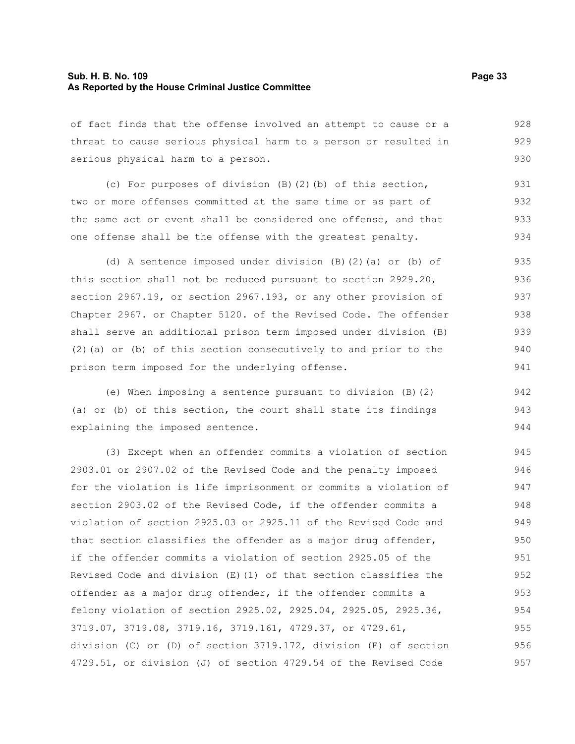#### **Sub. H. B. No. 109 Page 33 As Reported by the House Criminal Justice Committee**

of fact finds that the offense involved an attempt to cause or a threat to cause serious physical harm to a person or resulted in serious physical harm to a person. 928 929 930

(c) For purposes of division (B)(2)(b) of this section, two or more offenses committed at the same time or as part of the same act or event shall be considered one offense, and that one offense shall be the offense with the greatest penalty. 931 932 933 934

(d) A sentence imposed under division (B)(2)(a) or (b) of this section shall not be reduced pursuant to section 2929.20, section 2967.19, or section 2967.193, or any other provision of Chapter 2967. or Chapter 5120. of the Revised Code. The offender shall serve an additional prison term imposed under division (B) (2)(a) or (b) of this section consecutively to and prior to the prison term imposed for the underlying offense. 935 936 937 938 939 940 941

(e) When imposing a sentence pursuant to division (B)(2) (a) or (b) of this section, the court shall state its findings explaining the imposed sentence. 942 943 944

(3) Except when an offender commits a violation of section 2903.01 or 2907.02 of the Revised Code and the penalty imposed for the violation is life imprisonment or commits a violation of section 2903.02 of the Revised Code, if the offender commits a violation of section 2925.03 or 2925.11 of the Revised Code and that section classifies the offender as a major drug offender, if the offender commits a violation of section 2925.05 of the Revised Code and division  $(E)(1)$  of that section classifies the offender as a major drug offender, if the offender commits a felony violation of section 2925.02, 2925.04, 2925.05, 2925.36, 3719.07, 3719.08, 3719.16, 3719.161, 4729.37, or 4729.61, division (C) or (D) of section 3719.172, division (E) of section 4729.51, or division (J) of section 4729.54 of the Revised Code 945 946 947 948 949 950 951 952 953 954 955 956 957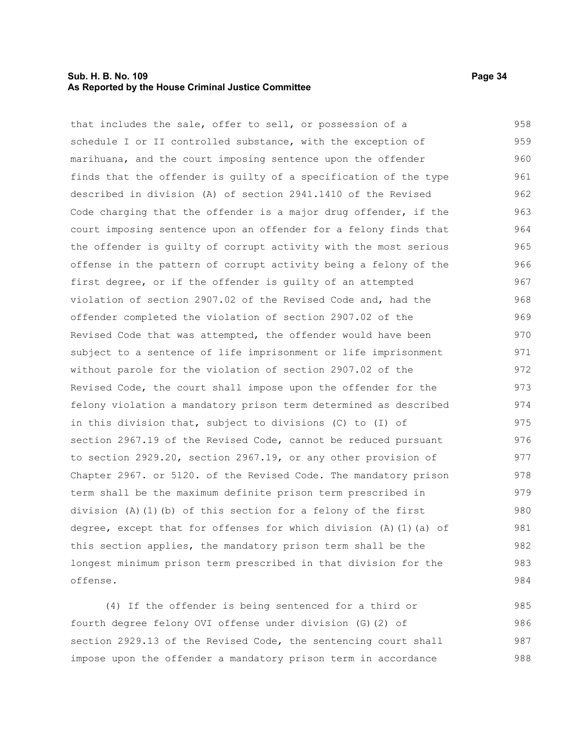#### **Sub. H. B. No. 109 Page 34 As Reported by the House Criminal Justice Committee**

that includes the sale, offer to sell, or possession of a schedule I or II controlled substance, with the exception of marihuana, and the court imposing sentence upon the offender finds that the offender is guilty of a specification of the type described in division (A) of section 2941.1410 of the Revised Code charging that the offender is a major drug offender, if the court imposing sentence upon an offender for a felony finds that the offender is guilty of corrupt activity with the most serious offense in the pattern of corrupt activity being a felony of the first degree, or if the offender is guilty of an attempted violation of section 2907.02 of the Revised Code and, had the offender completed the violation of section 2907.02 of the Revised Code that was attempted, the offender would have been subject to a sentence of life imprisonment or life imprisonment without parole for the violation of section 2907.02 of the Revised Code, the court shall impose upon the offender for the felony violation a mandatory prison term determined as described in this division that, subject to divisions (C) to (I) of section 2967.19 of the Revised Code, cannot be reduced pursuant to section 2929.20, section 2967.19, or any other provision of Chapter 2967. or 5120. of the Revised Code. The mandatory prison term shall be the maximum definite prison term prescribed in division (A)(1)(b) of this section for a felony of the first degree, except that for offenses for which division  $(A)$   $(1)$   $(a)$  of this section applies, the mandatory prison term shall be the longest minimum prison term prescribed in that division for the offense. 958 959 960 961 962 963 964 965 966 967 968 969 970 971 972 973 974 975 976 977 978 979 980 981 982 983 984

(4) If the offender is being sentenced for a third or fourth degree felony OVI offense under division (G)(2) of section 2929.13 of the Revised Code, the sentencing court shall impose upon the offender a mandatory prison term in accordance 985 986 987 988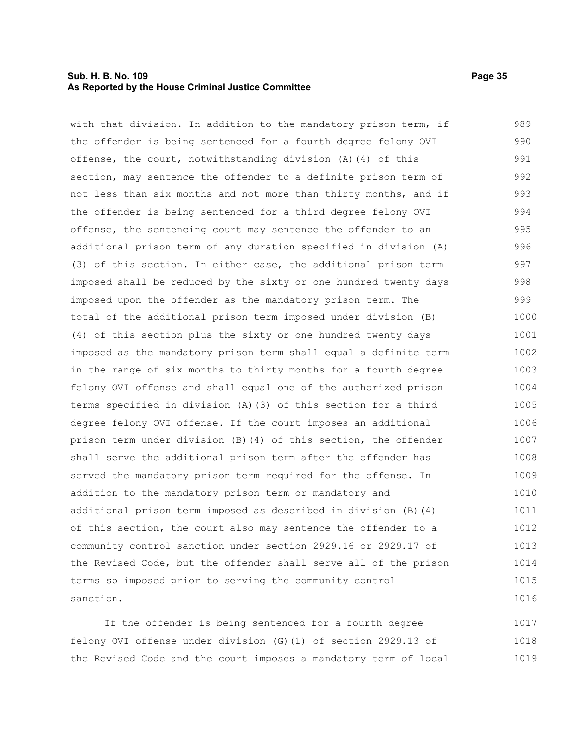#### **Sub. H. B. No. 109 Page 35 As Reported by the House Criminal Justice Committee**

with that division. In addition to the mandatory prison term, if the offender is being sentenced for a fourth degree felony OVI offense, the court, notwithstanding division (A)(4) of this section, may sentence the offender to a definite prison term of not less than six months and not more than thirty months, and if the offender is being sentenced for a third degree felony OVI offense, the sentencing court may sentence the offender to an additional prison term of any duration specified in division (A) (3) of this section. In either case, the additional prison term imposed shall be reduced by the sixty or one hundred twenty days imposed upon the offender as the mandatory prison term. The total of the additional prison term imposed under division (B) (4) of this section plus the sixty or one hundred twenty days imposed as the mandatory prison term shall equal a definite term in the range of six months to thirty months for a fourth degree felony OVI offense and shall equal one of the authorized prison terms specified in division (A)(3) of this section for a third degree felony OVI offense. If the court imposes an additional prison term under division (B)(4) of this section, the offender shall serve the additional prison term after the offender has served the mandatory prison term required for the offense. In addition to the mandatory prison term or mandatory and additional prison term imposed as described in division (B)(4) of this section, the court also may sentence the offender to a community control sanction under section 2929.16 or 2929.17 of the Revised Code, but the offender shall serve all of the prison terms so imposed prior to serving the community control sanction. 989 990 991 992 993 994 995 996 997 998 999 1000 1001 1002 1003 1004 1005 1006 1007 1008 1009 1010 1011 1012 1013 1014 1015 1016

If the offender is being sentenced for a fourth degree felony OVI offense under division (G)(1) of section 2929.13 of the Revised Code and the court imposes a mandatory term of local 1017 1018 1019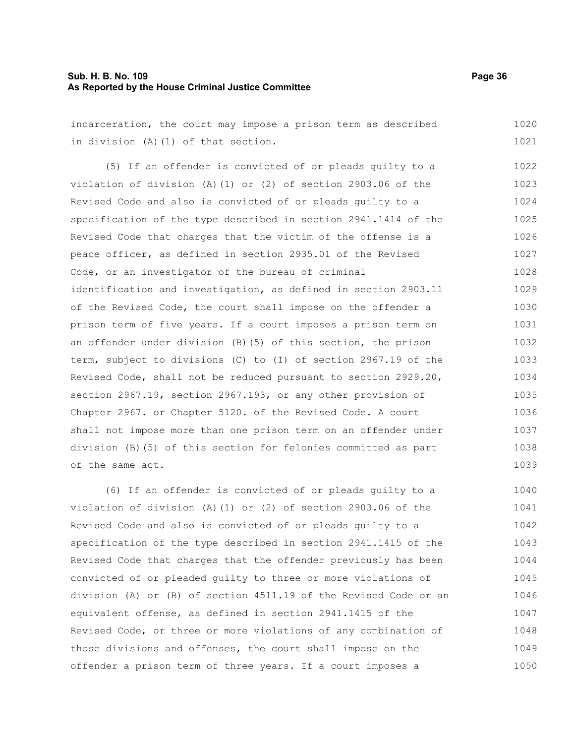#### **Sub. H. B. No. 109 Page 36 As Reported by the House Criminal Justice Committee**

incarceration, the court may impose a prison term as described in division (A)(1) of that section. 1020 1021

(5) If an offender is convicted of or pleads guilty to a violation of division (A)(1) or (2) of section 2903.06 of the Revised Code and also is convicted of or pleads guilty to a specification of the type described in section 2941.1414 of the Revised Code that charges that the victim of the offense is a peace officer, as defined in section 2935.01 of the Revised Code, or an investigator of the bureau of criminal identification and investigation, as defined in section 2903.11 of the Revised Code, the court shall impose on the offender a prison term of five years. If a court imposes a prison term on an offender under division (B)(5) of this section, the prison term, subject to divisions (C) to (I) of section 2967.19 of the Revised Code, shall not be reduced pursuant to section 2929.20, section 2967.19, section 2967.193, or any other provision of Chapter 2967. or Chapter 5120. of the Revised Code. A court shall not impose more than one prison term on an offender under division (B)(5) of this section for felonies committed as part of the same act. 1022 1023 1024 1025 1026 1027 1028 1029 1030 1031 1032 1033 1034 1035 1036 1037 1038 1039

(6) If an offender is convicted of or pleads guilty to a violation of division (A)(1) or (2) of section 2903.06 of the Revised Code and also is convicted of or pleads guilty to a specification of the type described in section 2941.1415 of the Revised Code that charges that the offender previously has been convicted of or pleaded guilty to three or more violations of division (A) or (B) of section 4511.19 of the Revised Code or an equivalent offense, as defined in section 2941.1415 of the Revised Code, or three or more violations of any combination of those divisions and offenses, the court shall impose on the offender a prison term of three years. If a court imposes a 1040 1041 1042 1043 1044 1045 1046 1047 1048 1049 1050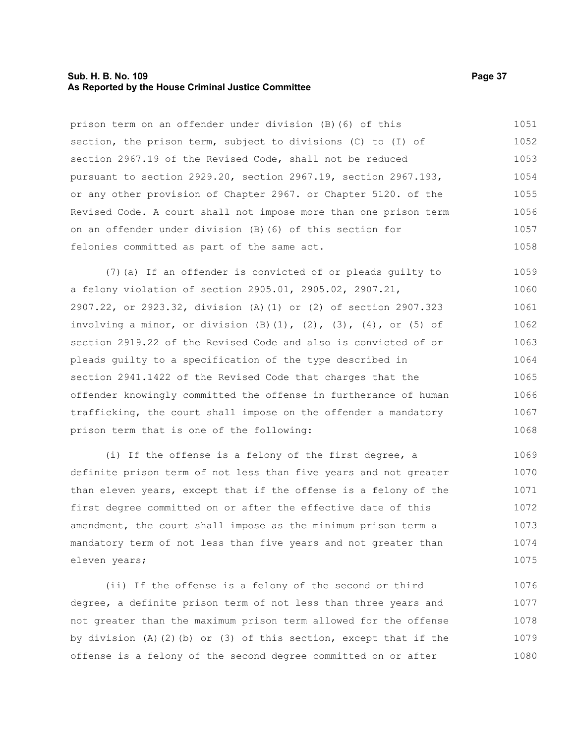#### **Sub. H. B. No. 109 Page 37 As Reported by the House Criminal Justice Committee**

prison term on an offender under division (B)(6) of this section, the prison term, subject to divisions (C) to (I) of section 2967.19 of the Revised Code, shall not be reduced pursuant to section 2929.20, section 2967.19, section 2967.193, or any other provision of Chapter 2967. or Chapter 5120. of the Revised Code. A court shall not impose more than one prison term on an offender under division (B)(6) of this section for felonies committed as part of the same act. (7)(a) If an offender is convicted of or pleads guilty to a felony violation of section 2905.01, 2905.02, 2907.21, 2907.22, or 2923.32, division (A)(1) or (2) of section 2907.323 involving a minor, or division  $(B)$   $(1)$ ,  $(2)$ ,  $(3)$ ,  $(4)$ , or  $(5)$  of section 2919.22 of the Revised Code and also is convicted of or pleads guilty to a specification of the type described in section 2941.1422 of the Revised Code that charges that the offender knowingly committed the offense in furtherance of human trafficking, the court shall impose on the offender a mandatory prison term that is one of the following: (i) If the offense is a felony of the first degree, a 1051 1052 1053 1054 1055 1056 1057 1058 1059 1060 1061 1062 1063 1064 1065 1066 1067 1068 1069

definite prison term of not less than five years and not greater than eleven years, except that if the offense is a felony of the first degree committed on or after the effective date of this amendment, the court shall impose as the minimum prison term a mandatory term of not less than five years and not greater than eleven years; 1070 1071 1072 1073 1074 1075

(ii) If the offense is a felony of the second or third degree, a definite prison term of not less than three years and not greater than the maximum prison term allowed for the offense by division  $(A)$   $(2)$   $(b)$  or  $(3)$  of this section, except that if the offense is a felony of the second degree committed on or after 1076 1077 1078 1079 1080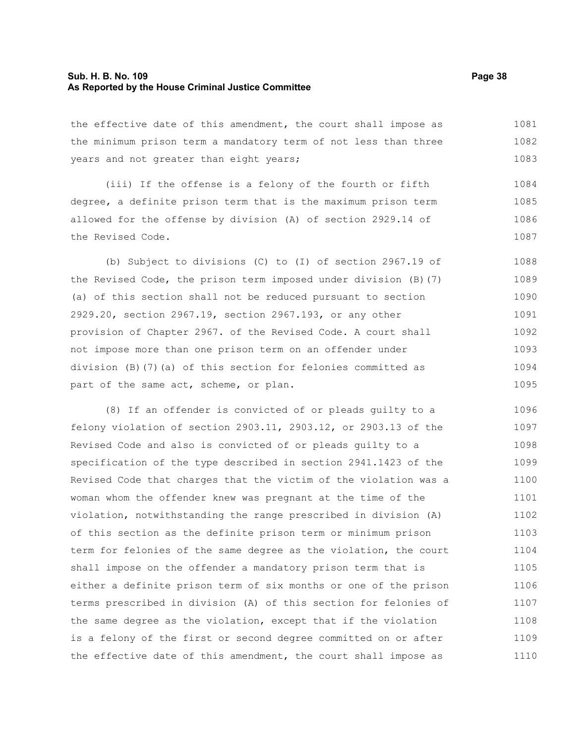#### **Sub. H. B. No. 109 Page 38 As Reported by the House Criminal Justice Committee**

the effective date of this amendment, the court shall impose as the minimum prison term a mandatory term of not less than three years and not greater than eight years; 1081 1082 1083

(iii) If the offense is a felony of the fourth or fifth degree, a definite prison term that is the maximum prison term allowed for the offense by division (A) of section 2929.14 of the Revised Code. 1084 1085 1086 1087

(b) Subject to divisions (C) to (I) of section 2967.19 of the Revised Code, the prison term imposed under division (B)(7) (a) of this section shall not be reduced pursuant to section 2929.20, section 2967.19, section 2967.193, or any other provision of Chapter 2967. of the Revised Code. A court shall not impose more than one prison term on an offender under division (B)(7)(a) of this section for felonies committed as part of the same act, scheme, or plan. 1088 1089 1090 1091 1092 1093 1094 1095

(8) If an offender is convicted of or pleads guilty to a felony violation of section 2903.11, 2903.12, or 2903.13 of the Revised Code and also is convicted of or pleads guilty to a specification of the type described in section 2941.1423 of the Revised Code that charges that the victim of the violation was a woman whom the offender knew was pregnant at the time of the violation, notwithstanding the range prescribed in division (A) of this section as the definite prison term or minimum prison term for felonies of the same degree as the violation, the court shall impose on the offender a mandatory prison term that is either a definite prison term of six months or one of the prison terms prescribed in division (A) of this section for felonies of the same degree as the violation, except that if the violation is a felony of the first or second degree committed on or after the effective date of this amendment, the court shall impose as 1096 1097 1098 1099 1100 1101 1102 1103 1104 1105 1106 1107 1108 1109 1110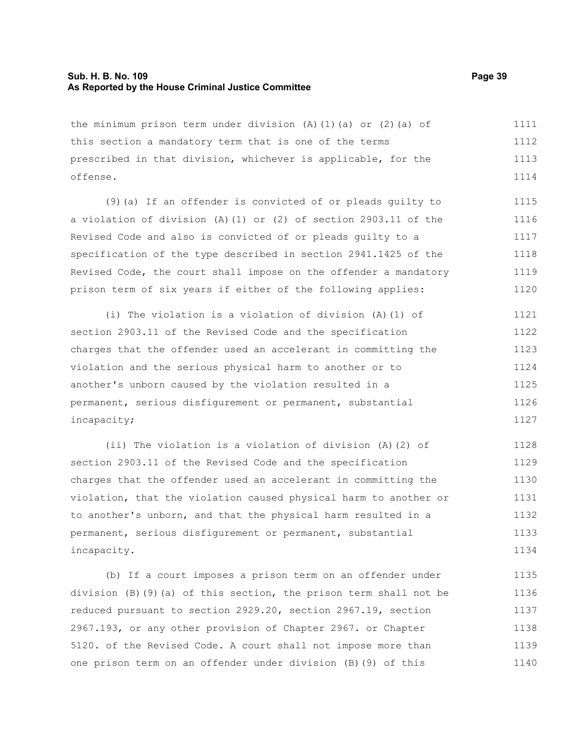#### **Sub. H. B. No. 109 Page 39 As Reported by the House Criminal Justice Committee**

the minimum prison term under division (A)(1)(a) or (2)(a) of this section a mandatory term that is one of the terms prescribed in that division, whichever is applicable, for the offense. 1111 1112 1113 1114

(9)(a) If an offender is convicted of or pleads guilty to a violation of division (A)(1) or (2) of section 2903.11 of the Revised Code and also is convicted of or pleads guilty to a specification of the type described in section 2941.1425 of the Revised Code, the court shall impose on the offender a mandatory prison term of six years if either of the following applies: 1115 1116 1117 1118 1119 1120

(i) The violation is a violation of division (A)(1) of section 2903.11 of the Revised Code and the specification charges that the offender used an accelerant in committing the violation and the serious physical harm to another or to another's unborn caused by the violation resulted in a permanent, serious disfigurement or permanent, substantial incapacity; 1121 1122 1123 1124 1125 1126 1127

(ii) The violation is a violation of division (A)(2) of section 2903.11 of the Revised Code and the specification charges that the offender used an accelerant in committing the violation, that the violation caused physical harm to another or to another's unborn, and that the physical harm resulted in a permanent, serious disfigurement or permanent, substantial incapacity. 1128 1129 1130 1131 1132 1133 1134

(b) If a court imposes a prison term on an offender under division (B)(9)(a) of this section, the prison term shall not be reduced pursuant to section 2929.20, section 2967.19, section 2967.193, or any other provision of Chapter 2967. or Chapter 5120. of the Revised Code. A court shall not impose more than one prison term on an offender under division (B)(9) of this 1135 1136 1137 1138 1139 1140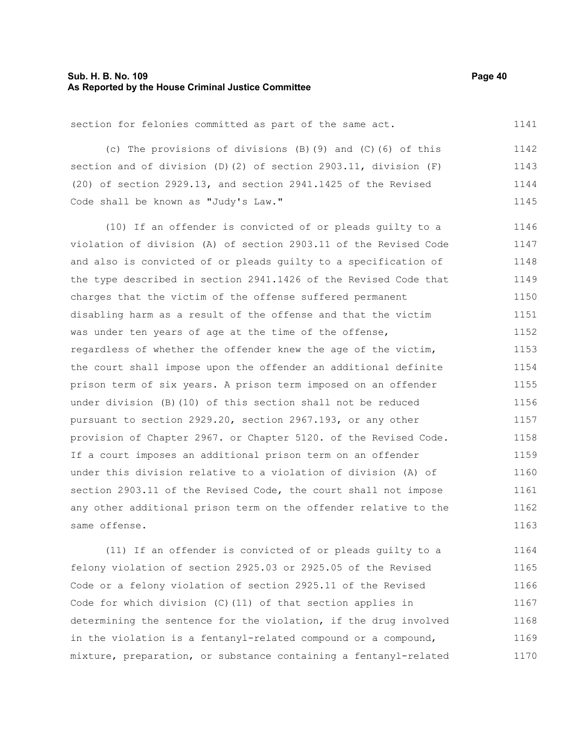#### **Sub. H. B. No. 109 Page 40 As Reported by the House Criminal Justice Committee**

section for felonies committed as part of the same act.

(c) The provisions of divisions (B)(9) and (C)(6) of this section and of division (D)(2) of section 2903.11, division (F) (20) of section 2929.13, and section 2941.1425 of the Revised Code shall be known as "Judy's Law." 1142 1143 1144 1145

(10) If an offender is convicted of or pleads guilty to a violation of division (A) of section 2903.11 of the Revised Code and also is convicted of or pleads guilty to a specification of the type described in section 2941.1426 of the Revised Code that charges that the victim of the offense suffered permanent disabling harm as a result of the offense and that the victim was under ten years of age at the time of the offense, regardless of whether the offender knew the age of the victim, the court shall impose upon the offender an additional definite prison term of six years. A prison term imposed on an offender under division (B)(10) of this section shall not be reduced pursuant to section 2929.20, section 2967.193, or any other provision of Chapter 2967. or Chapter 5120. of the Revised Code. If a court imposes an additional prison term on an offender under this division relative to a violation of division (A) of section 2903.11 of the Revised Code, the court shall not impose any other additional prison term on the offender relative to the same offense. 1146 1147 1148 1149 1150 1151 1152 1153 1154 1155 1156 1157 1158 1159 1160 1161 1162 1163

(11) If an offender is convicted of or pleads guilty to a felony violation of section 2925.03 or 2925.05 of the Revised Code or a felony violation of section 2925.11 of the Revised Code for which division (C)(11) of that section applies in determining the sentence for the violation, if the drug involved in the violation is a fentanyl-related compound or a compound, mixture, preparation, or substance containing a fentanyl-related 1164 1165 1166 1167 1168 1169 1170

1141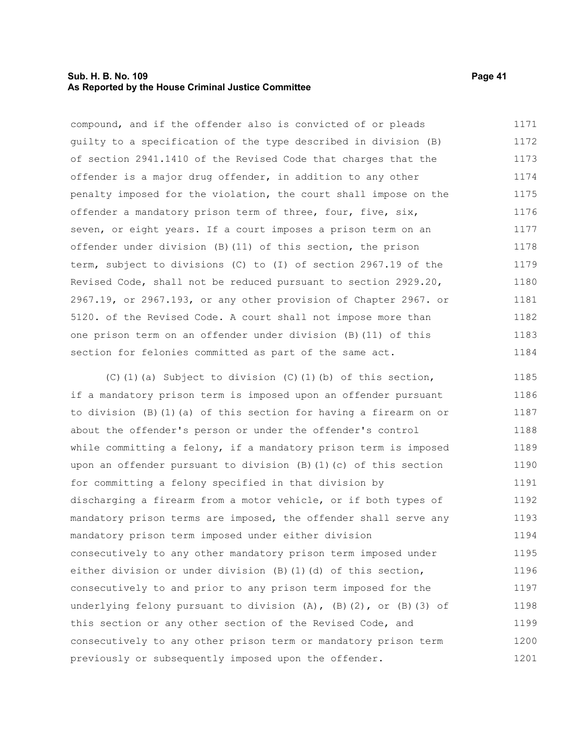#### **Sub. H. B. No. 109 Page 41 As Reported by the House Criminal Justice Committee**

compound, and if the offender also is convicted of or pleads guilty to a specification of the type described in division (B) of section 2941.1410 of the Revised Code that charges that the offender is a major drug offender, in addition to any other penalty imposed for the violation, the court shall impose on the offender a mandatory prison term of three, four, five, six, seven, or eight years. If a court imposes a prison term on an offender under division (B)(11) of this section, the prison term, subject to divisions (C) to (I) of section 2967.19 of the Revised Code, shall not be reduced pursuant to section 2929.20, 2967.19, or 2967.193, or any other provision of Chapter 2967. or 5120. of the Revised Code. A court shall not impose more than one prison term on an offender under division (B)(11) of this section for felonies committed as part of the same act. 1171 1172 1173 1174 1175 1176 1177 1178 1179 1180 1181 1182 1183 1184

(C)(1)(a) Subject to division (C)(1)(b) of this section, if a mandatory prison term is imposed upon an offender pursuant to division (B)(1)(a) of this section for having a firearm on or about the offender's person or under the offender's control while committing a felony, if a mandatory prison term is imposed upon an offender pursuant to division (B)(1)(c) of this section for committing a felony specified in that division by discharging a firearm from a motor vehicle, or if both types of mandatory prison terms are imposed, the offender shall serve any mandatory prison term imposed under either division consecutively to any other mandatory prison term imposed under either division or under division (B)(1)(d) of this section, consecutively to and prior to any prison term imposed for the underlying felony pursuant to division (A), (B)(2), or (B)(3) of this section or any other section of the Revised Code, and consecutively to any other prison term or mandatory prison term previously or subsequently imposed upon the offender. 1185 1186 1187 1188 1189 1190 1191 1192 1193 1194 1195 1196 1197 1198 1199 1200 1201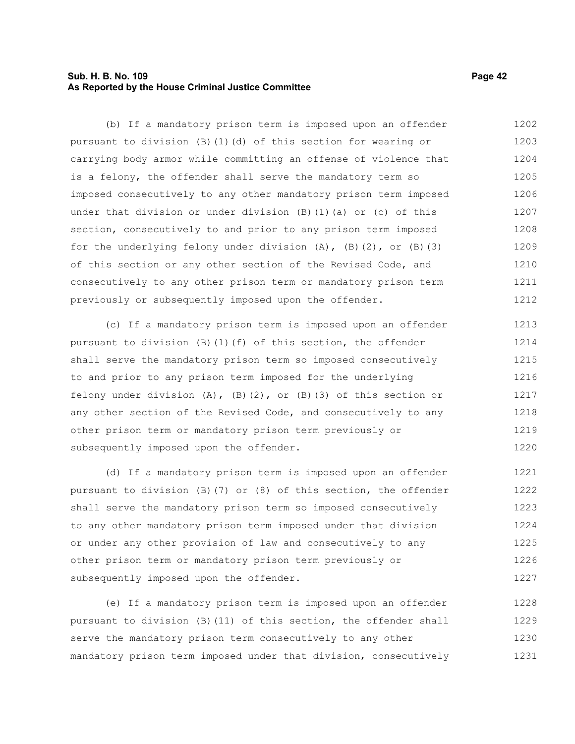### **Sub. H. B. No. 109 Page 42 As Reported by the House Criminal Justice Committee**

(b) If a mandatory prison term is imposed upon an offender pursuant to division (B)(1)(d) of this section for wearing or carrying body armor while committing an offense of violence that is a felony, the offender shall serve the mandatory term so imposed consecutively to any other mandatory prison term imposed under that division or under division (B)(1)(a) or (c) of this section, consecutively to and prior to any prison term imposed for the underlying felony under division  $(A)$ ,  $(B)$   $(2)$ , or  $(B)$   $(3)$ of this section or any other section of the Revised Code, and consecutively to any other prison term or mandatory prison term previously or subsequently imposed upon the offender. 1202 1203 1204 1205 1206 1207 1208 1209 1210 1211 1212

(c) If a mandatory prison term is imposed upon an offender pursuant to division  $(B)$  (1)(f) of this section, the offender shall serve the mandatory prison term so imposed consecutively to and prior to any prison term imposed for the underlying felony under division  $(A)$ ,  $(B)$   $(2)$ , or  $(B)$   $(3)$  of this section or any other section of the Revised Code, and consecutively to any other prison term or mandatory prison term previously or subsequently imposed upon the offender. 1213 1214 1215 1216 1217 1218 1219 1220

(d) If a mandatory prison term is imposed upon an offender pursuant to division (B)(7) or (8) of this section, the offender shall serve the mandatory prison term so imposed consecutively to any other mandatory prison term imposed under that division or under any other provision of law and consecutively to any other prison term or mandatory prison term previously or subsequently imposed upon the offender. 1221 1222 1223 1224 1225 1226 1227

(e) If a mandatory prison term is imposed upon an offender pursuant to division (B)(11) of this section, the offender shall serve the mandatory prison term consecutively to any other mandatory prison term imposed under that division, consecutively 1228 1229 1230 1231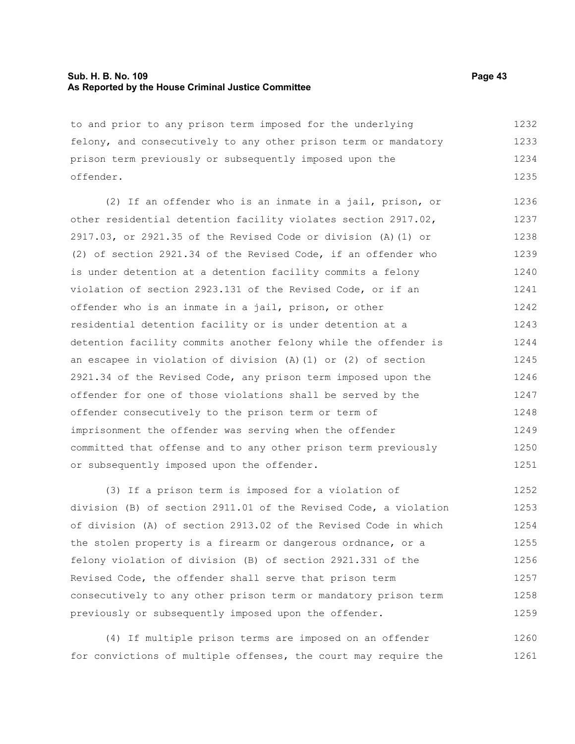#### **Sub. H. B. No. 109 Page 43 As Reported by the House Criminal Justice Committee**

to and prior to any prison term imposed for the underlying felony, and consecutively to any other prison term or mandatory prison term previously or subsequently imposed upon the offender. 1232 1233 1234 1235

(2) If an offender who is an inmate in a jail, prison, or other residential detention facility violates section 2917.02, 2917.03, or 2921.35 of the Revised Code or division (A)(1) or (2) of section 2921.34 of the Revised Code, if an offender who is under detention at a detention facility commits a felony violation of section 2923.131 of the Revised Code, or if an offender who is an inmate in a jail, prison, or other residential detention facility or is under detention at a detention facility commits another felony while the offender is an escapee in violation of division (A)(1) or (2) of section 2921.34 of the Revised Code, any prison term imposed upon the offender for one of those violations shall be served by the offender consecutively to the prison term or term of imprisonment the offender was serving when the offender committed that offense and to any other prison term previously or subsequently imposed upon the offender. 1236 1237 1238 1239 1240 1241 1242 1243 1244 1245 1246 1247 1248 1249 1250 1251

(3) If a prison term is imposed for a violation of division (B) of section 2911.01 of the Revised Code, a violation of division (A) of section 2913.02 of the Revised Code in which the stolen property is a firearm or dangerous ordnance, or a felony violation of division (B) of section 2921.331 of the Revised Code, the offender shall serve that prison term consecutively to any other prison term or mandatory prison term previously or subsequently imposed upon the offender. 1252 1253 1254 1255 1256 1257 1258 1259

(4) If multiple prison terms are imposed on an offender for convictions of multiple offenses, the court may require the 1260 1261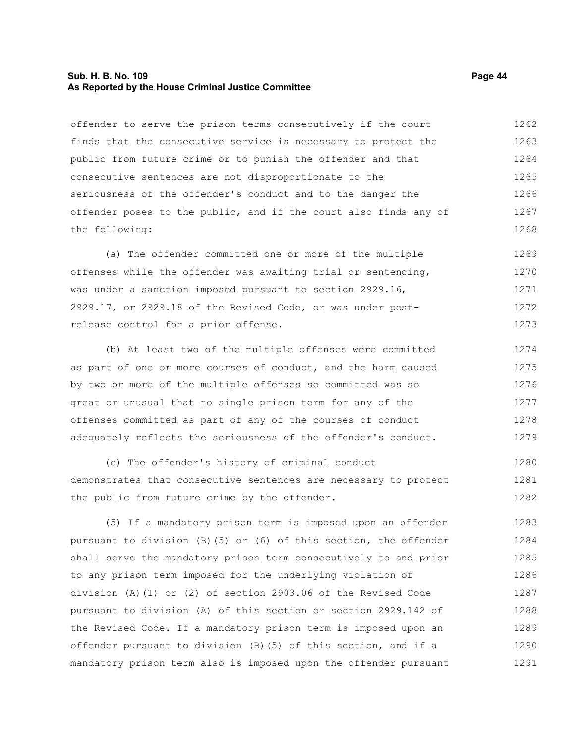#### **Sub. H. B. No. 109 Page 44 As Reported by the House Criminal Justice Committee**

offender to serve the prison terms consecutively if the court finds that the consecutive service is necessary to protect the public from future crime or to punish the offender and that consecutive sentences are not disproportionate to the seriousness of the offender's conduct and to the danger the offender poses to the public, and if the court also finds any of the following: 1262 1263 1264 1265 1266 1267 1268

(a) The offender committed one or more of the multiple offenses while the offender was awaiting trial or sentencing, was under a sanction imposed pursuant to section 2929.16, 2929.17, or 2929.18 of the Revised Code, or was under postrelease control for a prior offense. 1269 1270 1271 1272 1273

(b) At least two of the multiple offenses were committed as part of one or more courses of conduct, and the harm caused by two or more of the multiple offenses so committed was so great or unusual that no single prison term for any of the offenses committed as part of any of the courses of conduct adequately reflects the seriousness of the offender's conduct. 1274 1275 1276 1277 1278 1279

(c) The offender's history of criminal conduct demonstrates that consecutive sentences are necessary to protect the public from future crime by the offender. 1280 1281 1282

(5) If a mandatory prison term is imposed upon an offender pursuant to division (B)(5) or (6) of this section, the offender shall serve the mandatory prison term consecutively to and prior to any prison term imposed for the underlying violation of division (A)(1) or (2) of section 2903.06 of the Revised Code pursuant to division (A) of this section or section 2929.142 of the Revised Code. If a mandatory prison term is imposed upon an offender pursuant to division (B)(5) of this section, and if a mandatory prison term also is imposed upon the offender pursuant 1283 1284 1285 1286 1287 1288 1289 1290 1291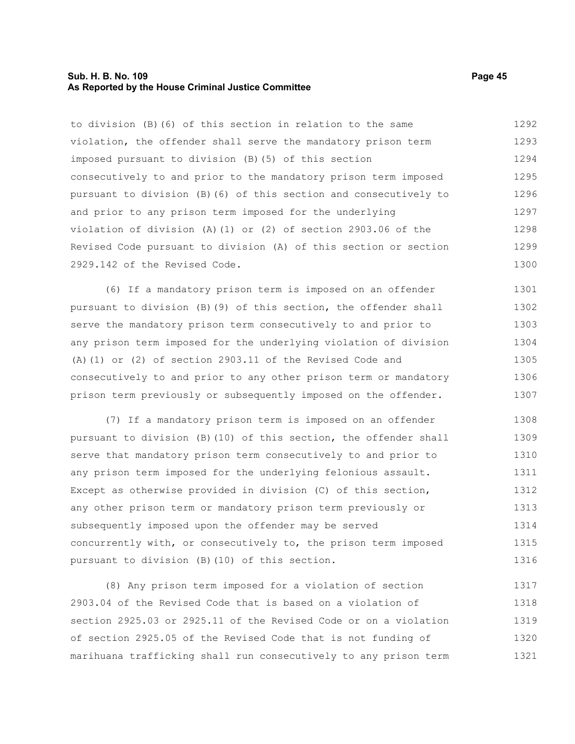#### **Sub. H. B. No. 109 Page 45 As Reported by the House Criminal Justice Committee**

to division (B)(6) of this section in relation to the same violation, the offender shall serve the mandatory prison term imposed pursuant to division (B)(5) of this section consecutively to and prior to the mandatory prison term imposed pursuant to division (B)(6) of this section and consecutively to and prior to any prison term imposed for the underlying violation of division (A)(1) or (2) of section 2903.06 of the Revised Code pursuant to division (A) of this section or section 2929.142 of the Revised Code. 1292 1293 1294 1295 1296 1297 1298 1299 1300

(6) If a mandatory prison term is imposed on an offender pursuant to division (B)(9) of this section, the offender shall serve the mandatory prison term consecutively to and prior to any prison term imposed for the underlying violation of division (A)(1) or (2) of section 2903.11 of the Revised Code and consecutively to and prior to any other prison term or mandatory prison term previously or subsequently imposed on the offender. 1301 1302 1303 1304 1305 1306 1307

(7) If a mandatory prison term is imposed on an offender pursuant to division (B)(10) of this section, the offender shall serve that mandatory prison term consecutively to and prior to any prison term imposed for the underlying felonious assault. Except as otherwise provided in division (C) of this section, any other prison term or mandatory prison term previously or subsequently imposed upon the offender may be served concurrently with, or consecutively to, the prison term imposed pursuant to division (B)(10) of this section. 1308 1309 1310 1311 1312 1313 1314 1315 1316

(8) Any prison term imposed for a violation of section 2903.04 of the Revised Code that is based on a violation of section 2925.03 or 2925.11 of the Revised Code or on a violation of section 2925.05 of the Revised Code that is not funding of marihuana trafficking shall run consecutively to any prison term 1317 1318 1319 1320 1321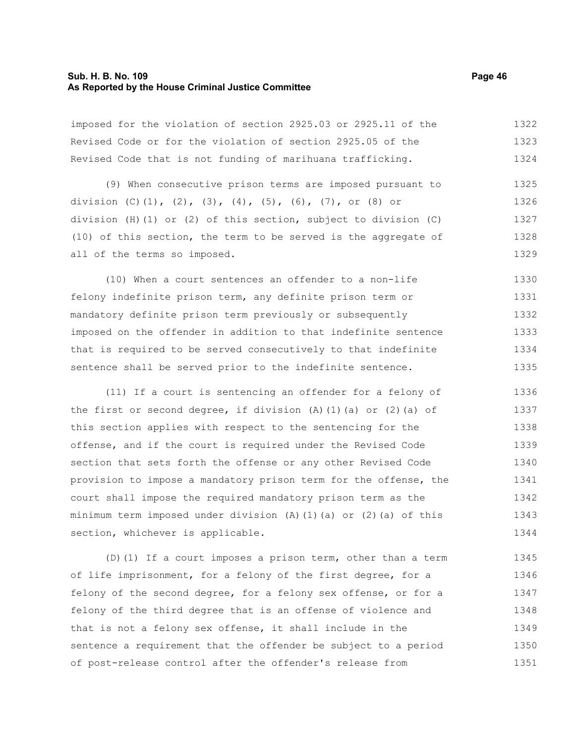#### **Sub. H. B. No. 109 Page 46 As Reported by the House Criminal Justice Committee**

imposed for the violation of section 2925.03 or 2925.11 of the Revised Code or for the violation of section 2925.05 of the Revised Code that is not funding of marihuana trafficking. 1322 1323 1324

(9) When consecutive prison terms are imposed pursuant to division (C)(1), (2), (3), (4), (5), (6), (7), or (8) or division (H)(1) or (2) of this section, subject to division (C) (10) of this section, the term to be served is the aggregate of all of the terms so imposed. 1325 1326 1327 1328 1329

(10) When a court sentences an offender to a non-life felony indefinite prison term, any definite prison term or mandatory definite prison term previously or subsequently imposed on the offender in addition to that indefinite sentence that is required to be served consecutively to that indefinite sentence shall be served prior to the indefinite sentence. 1330 1331 1332 1333 1334 1335

(11) If a court is sentencing an offender for a felony of the first or second degree, if division  $(A)$   $(1)$   $(a)$  or  $(2)$   $(a)$  of this section applies with respect to the sentencing for the offense, and if the court is required under the Revised Code section that sets forth the offense or any other Revised Code provision to impose a mandatory prison term for the offense, the court shall impose the required mandatory prison term as the minimum term imposed under division  $(A)$   $(1)$   $(a)$  or  $(2)$   $(a)$  of this section, whichever is applicable. 1336 1337 1338 1339 1340 1341 1342 1343 1344

(D)(1) If a court imposes a prison term, other than a term of life imprisonment, for a felony of the first degree, for a felony of the second degree, for a felony sex offense, or for a felony of the third degree that is an offense of violence and that is not a felony sex offense, it shall include in the sentence a requirement that the offender be subject to a period of post-release control after the offender's release from 1345 1346 1347 1348 1349 1350 1351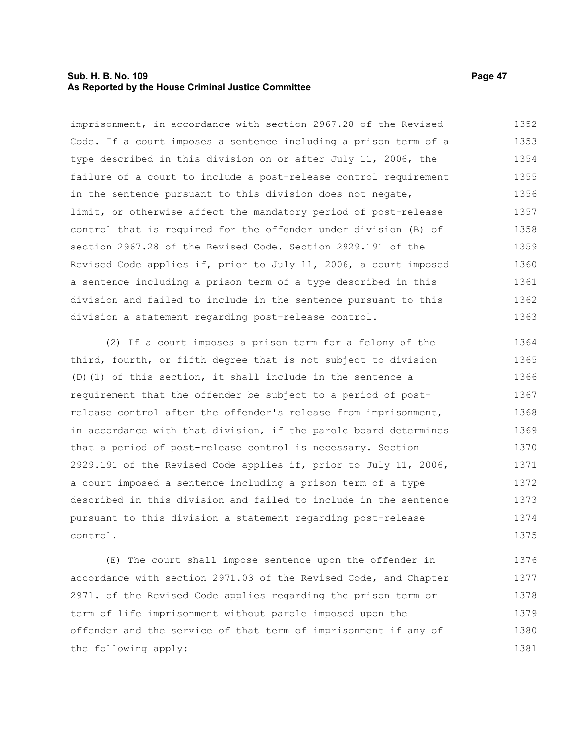#### **Sub. H. B. No. 109 Page 47 As Reported by the House Criminal Justice Committee**

imprisonment, in accordance with section 2967.28 of the Revised Code. If a court imposes a sentence including a prison term of a type described in this division on or after July 11, 2006, the failure of a court to include a post-release control requirement in the sentence pursuant to this division does not negate, limit, or otherwise affect the mandatory period of post-release control that is required for the offender under division (B) of section 2967.28 of the Revised Code. Section 2929.191 of the Revised Code applies if, prior to July 11, 2006, a court imposed a sentence including a prison term of a type described in this division and failed to include in the sentence pursuant to this division a statement regarding post-release control. 1352 1353 1354 1355 1356 1357 1358 1359 1360 1361 1362 1363

(2) If a court imposes a prison term for a felony of the third, fourth, or fifth degree that is not subject to division (D)(1) of this section, it shall include in the sentence a requirement that the offender be subject to a period of postrelease control after the offender's release from imprisonment, in accordance with that division, if the parole board determines that a period of post-release control is necessary. Section 2929.191 of the Revised Code applies if, prior to July 11, 2006, a court imposed a sentence including a prison term of a type described in this division and failed to include in the sentence pursuant to this division a statement regarding post-release control. 1364 1365 1366 1367 1368 1369 1370 1371 1372 1373 1374 1375

(E) The court shall impose sentence upon the offender in accordance with section 2971.03 of the Revised Code, and Chapter 2971. of the Revised Code applies regarding the prison term or term of life imprisonment without parole imposed upon the offender and the service of that term of imprisonment if any of the following apply: 1376 1377 1378 1379 1380 1381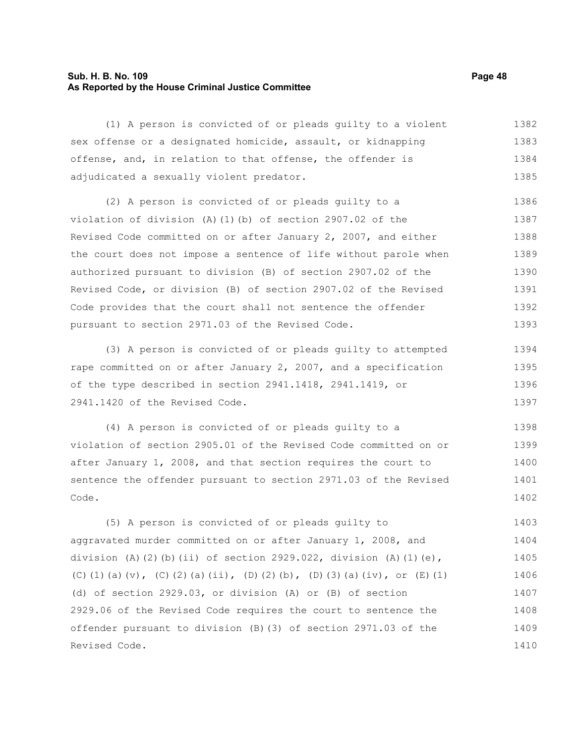#### **Sub. H. B. No. 109 Page 48 As Reported by the House Criminal Justice Committee**

(1) A person is convicted of or pleads guilty to a violent sex offense or a designated homicide, assault, or kidnapping offense, and, in relation to that offense, the offender is adjudicated a sexually violent predator. 1382 1383 1384 1385

(2) A person is convicted of or pleads guilty to a violation of division (A)(1)(b) of section 2907.02 of the Revised Code committed on or after January 2, 2007, and either the court does not impose a sentence of life without parole when authorized pursuant to division (B) of section 2907.02 of the Revised Code, or division (B) of section 2907.02 of the Revised Code provides that the court shall not sentence the offender pursuant to section 2971.03 of the Revised Code. 1386 1387 1388 1389 1390 1391 1392 1393

(3) A person is convicted of or pleads guilty to attempted rape committed on or after January 2, 2007, and a specification of the type described in section 2941.1418, 2941.1419, or 2941.1420 of the Revised Code. 1394 1395 1396 1397

(4) A person is convicted of or pleads guilty to a violation of section 2905.01 of the Revised Code committed on or after January 1, 2008, and that section requires the court to sentence the offender pursuant to section 2971.03 of the Revised Code. 1398 1399 1400 1401 1402

(5) A person is convicted of or pleads guilty to aggravated murder committed on or after January 1, 2008, and division (A)(2)(b)(ii) of section 2929.022, division (A)(1)(e), (C)(1)(a)(v), (C)(2)(a)(ii), (D)(2)(b), (D)(3)(a)(iv), or (E)(1) (d) of section 2929.03, or division (A) or (B) of section 2929.06 of the Revised Code requires the court to sentence the offender pursuant to division (B)(3) of section 2971.03 of the Revised Code. 1403 1404 1405 1406 1407 1408 1409 1410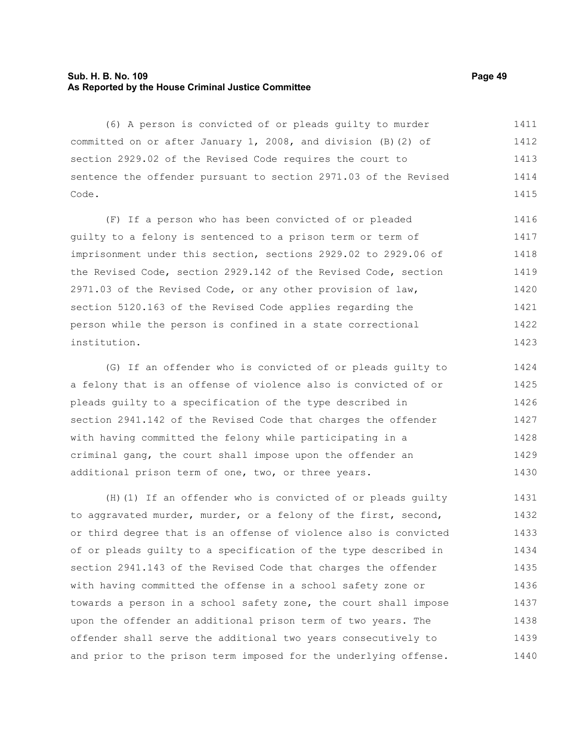#### **Sub. H. B. No. 109 Page 49 As Reported by the House Criminal Justice Committee**

(6) A person is convicted of or pleads guilty to murder committed on or after January 1, 2008, and division (B)(2) of section 2929.02 of the Revised Code requires the court to sentence the offender pursuant to section 2971.03 of the Revised Code. 1411 1412 1413 1414 1415

(F) If a person who has been convicted of or pleaded guilty to a felony is sentenced to a prison term or term of imprisonment under this section, sections 2929.02 to 2929.06 of the Revised Code, section 2929.142 of the Revised Code, section 2971.03 of the Revised Code, or any other provision of law, section 5120.163 of the Revised Code applies regarding the person while the person is confined in a state correctional institution. 1416 1417 1418 1419 1420 1421 1422 1423

(G) If an offender who is convicted of or pleads guilty to a felony that is an offense of violence also is convicted of or pleads guilty to a specification of the type described in section 2941.142 of the Revised Code that charges the offender with having committed the felony while participating in a criminal gang, the court shall impose upon the offender an additional prison term of one, two, or three years. 1424 1425 1426 1427 1428 1429 1430

(H)(1) If an offender who is convicted of or pleads guilty to aggravated murder, murder, or a felony of the first, second, or third degree that is an offense of violence also is convicted of or pleads guilty to a specification of the type described in section 2941.143 of the Revised Code that charges the offender with having committed the offense in a school safety zone or towards a person in a school safety zone, the court shall impose upon the offender an additional prison term of two years. The offender shall serve the additional two years consecutively to and prior to the prison term imposed for the underlying offense. 1431 1432 1433 1434 1435 1436 1437 1438 1439 1440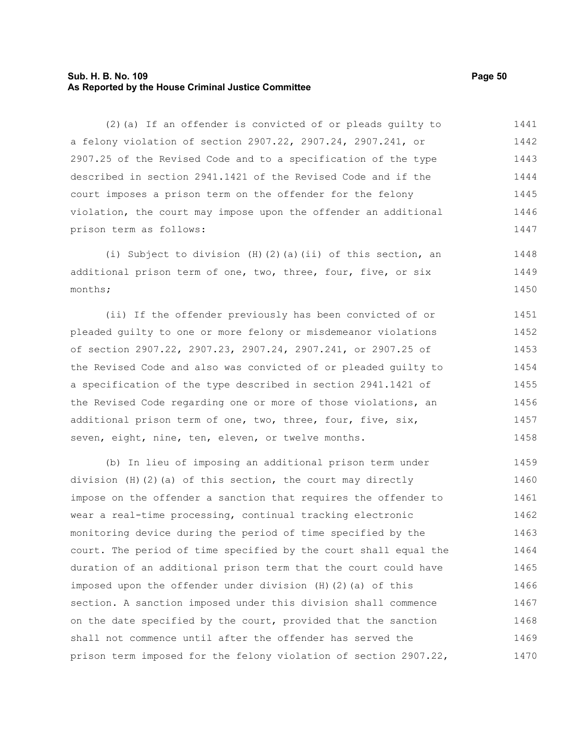#### **Sub. H. B. No. 109 Page 50 As Reported by the House Criminal Justice Committee**

(2)(a) If an offender is convicted of or pleads guilty to a felony violation of section 2907.22, 2907.24, 2907.241, or 2907.25 of the Revised Code and to a specification of the type described in section 2941.1421 of the Revised Code and if the court imposes a prison term on the offender for the felony violation, the court may impose upon the offender an additional prison term as follows: 1441 1442 1443 1444 1445 1446 1447

(i) Subject to division (H)(2)(a)(ii) of this section, an additional prison term of one, two, three, four, five, or six months; 1448 1449 1450

(ii) If the offender previously has been convicted of or pleaded guilty to one or more felony or misdemeanor violations of section 2907.22, 2907.23, 2907.24, 2907.241, or 2907.25 of the Revised Code and also was convicted of or pleaded guilty to a specification of the type described in section 2941.1421 of the Revised Code regarding one or more of those violations, an additional prison term of one, two, three, four, five, six, seven, eight, nine, ten, eleven, or twelve months. 1451 1452 1453 1454 1455 1456 1457 1458

(b) In lieu of imposing an additional prison term under division (H)(2)(a) of this section, the court may directly impose on the offender a sanction that requires the offender to wear a real-time processing, continual tracking electronic monitoring device during the period of time specified by the court. The period of time specified by the court shall equal the duration of an additional prison term that the court could have imposed upon the offender under division (H)(2)(a) of this section. A sanction imposed under this division shall commence on the date specified by the court, provided that the sanction shall not commence until after the offender has served the prison term imposed for the felony violation of section 2907.22, 1459 1460 1461 1462 1463 1464 1465 1466 1467 1468 1469 1470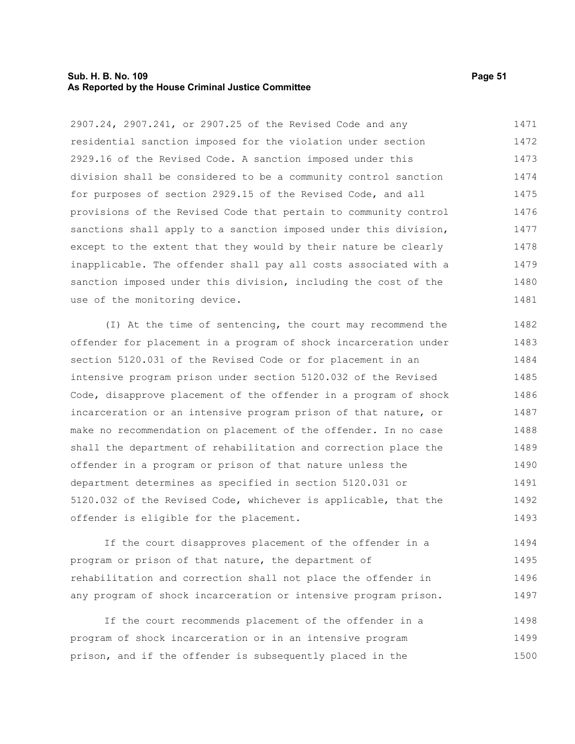#### **Sub. H. B. No. 109 Page 51 As Reported by the House Criminal Justice Committee**

2907.24, 2907.241, or 2907.25 of the Revised Code and any residential sanction imposed for the violation under section 2929.16 of the Revised Code. A sanction imposed under this division shall be considered to be a community control sanction for purposes of section 2929.15 of the Revised Code, and all provisions of the Revised Code that pertain to community control sanctions shall apply to a sanction imposed under this division, except to the extent that they would by their nature be clearly inapplicable. The offender shall pay all costs associated with a sanction imposed under this division, including the cost of the use of the monitoring device. 1471 1472 1473 1474 1475 1476 1477 1478 1479 1480 1481

(I) At the time of sentencing, the court may recommend the offender for placement in a program of shock incarceration under section 5120.031 of the Revised Code or for placement in an intensive program prison under section 5120.032 of the Revised Code, disapprove placement of the offender in a program of shock incarceration or an intensive program prison of that nature, or make no recommendation on placement of the offender. In no case shall the department of rehabilitation and correction place the offender in a program or prison of that nature unless the department determines as specified in section 5120.031 or 5120.032 of the Revised Code, whichever is applicable, that the offender is eligible for the placement. 1482 1483 1484 1485 1486 1487 1488 1489 1490 1491 1492 1493

If the court disapproves placement of the offender in a program or prison of that nature, the department of rehabilitation and correction shall not place the offender in any program of shock incarceration or intensive program prison. 1494 1495 1496 1497

If the court recommends placement of the offender in a program of shock incarceration or in an intensive program prison, and if the offender is subsequently placed in the 1498 1499 1500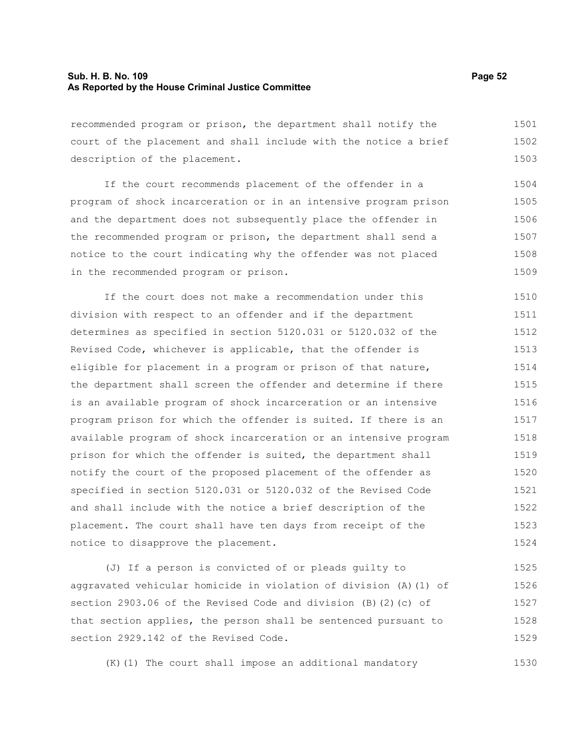#### **Sub. H. B. No. 109 Page 52 As Reported by the House Criminal Justice Committee**

recommended program or prison, the department shall notify the court of the placement and shall include with the notice a brief description of the placement. 1501 1502 1503

If the court recommends placement of the offender in a program of shock incarceration or in an intensive program prison and the department does not subsequently place the offender in the recommended program or prison, the department shall send a notice to the court indicating why the offender was not placed in the recommended program or prison. 1504 1505 1506 1507 1508 1509

If the court does not make a recommendation under this division with respect to an offender and if the department determines as specified in section 5120.031 or 5120.032 of the Revised Code, whichever is applicable, that the offender is eligible for placement in a program or prison of that nature, the department shall screen the offender and determine if there is an available program of shock incarceration or an intensive program prison for which the offender is suited. If there is an available program of shock incarceration or an intensive program prison for which the offender is suited, the department shall notify the court of the proposed placement of the offender as specified in section 5120.031 or 5120.032 of the Revised Code and shall include with the notice a brief description of the placement. The court shall have ten days from receipt of the notice to disapprove the placement. 1510 1511 1512 1513 1514 1515 1516 1517 1518 1519 1520 1521 1522 1523 1524

(J) If a person is convicted of or pleads guilty to aggravated vehicular homicide in violation of division (A)(1) of section 2903.06 of the Revised Code and division (B)(2)(c) of that section applies, the person shall be sentenced pursuant to section 2929.142 of the Revised Code. 1525 1526 1527 1528 1529

(K)(1) The court shall impose an additional mandatory

1530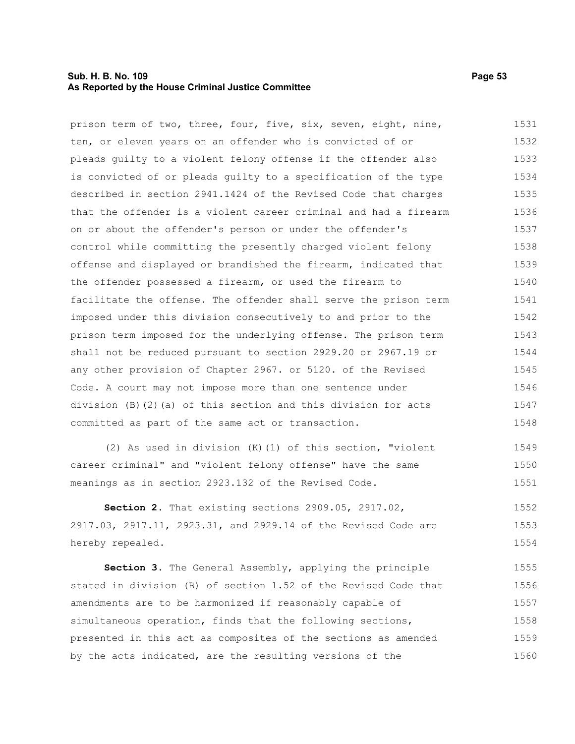#### **Sub. H. B. No. 109 Page 53 As Reported by the House Criminal Justice Committee**

prison term of two, three, four, five, six, seven, eight, nine, ten, or eleven years on an offender who is convicted of or pleads guilty to a violent felony offense if the offender also is convicted of or pleads guilty to a specification of the type described in section 2941.1424 of the Revised Code that charges that the offender is a violent career criminal and had a firearm on or about the offender's person or under the offender's control while committing the presently charged violent felony offense and displayed or brandished the firearm, indicated that the offender possessed a firearm, or used the firearm to facilitate the offense. The offender shall serve the prison term imposed under this division consecutively to and prior to the prison term imposed for the underlying offense. The prison term shall not be reduced pursuant to section 2929.20 or 2967.19 or any other provision of Chapter 2967. or 5120. of the Revised Code. A court may not impose more than one sentence under division (B)(2)(a) of this section and this division for acts committed as part of the same act or transaction. 1531 1532 1533 1534 1535 1536 1537 1538 1539 1540 1541 1542 1543 1544 1545 1546 1547 1548

(2) As used in division (K)(1) of this section, "violent career criminal" and "violent felony offense" have the same meanings as in section 2923.132 of the Revised Code. 1549 1550 1551

**Section 2.** That existing sections 2909.05, 2917.02, 2917.03, 2917.11, 2923.31, and 2929.14 of the Revised Code are hereby repealed. 1552 1553 1554

**Section 3.** The General Assembly, applying the principle stated in division (B) of section 1.52 of the Revised Code that amendments are to be harmonized if reasonably capable of simultaneous operation, finds that the following sections, presented in this act as composites of the sections as amended by the acts indicated, are the resulting versions of the 1555 1556 1557 1558 1559 1560